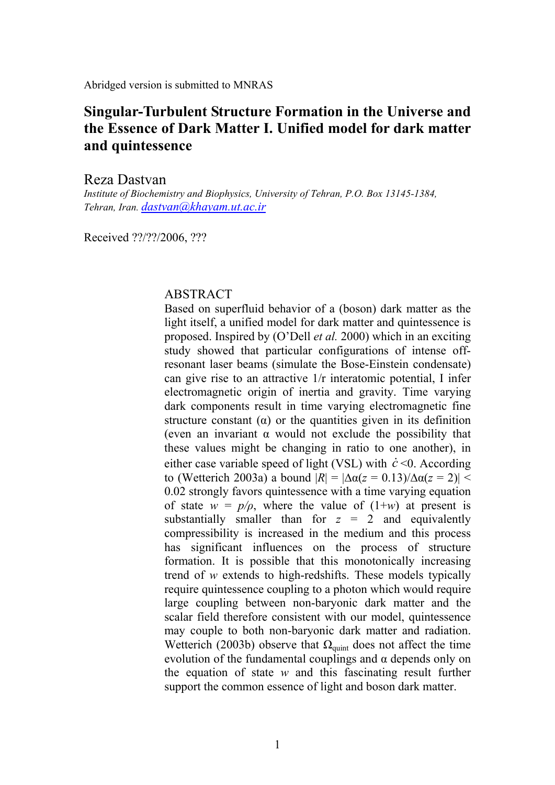Abridged version is submitted to MNRAS

# **Singular-Turbulent Structure Formation in the Universe and the Essence of Dark Matter I. Unified model for dark matter and quintessence**

#### Reza Dastvan

*Institute of Biochemistry and Biophysics, University of Tehran, P.O. Box 13145-1384, Tehran, Iran. dastvan@khayam.ut.ac.ir* 

Received ??/??/2006, ???

#### ABSTRACT

Based on superfluid behavior of a (boson) dark matter as the light itself, a unified model for dark matter and quintessence is proposed. Inspired by (O'Dell *et al.* 2000) which in an exciting study showed that particular configurations of intense offresonant laser beams (simulate the Bose-Einstein condensate) can give rise to an attractive 1/r interatomic potential, I infer electromagnetic origin of inertia and gravity. Time varying dark components result in time varying electromagnetic fine structure constant  $(\alpha)$  or the quantities given in its definition (even an invariant  $\alpha$  would not exclude the possibility that these values might be changing in ratio to one another), in either case variable speed of light (VSL) with  $\dot{c}$  <0. According to (Wetterich 2003a) a bound |*R*| = |∆α(*z* = 0.13)/∆α(*z* = 2)| < 0.02 strongly favors quintessence with a time varying equation of state  $w = p/\rho$ , where the value of  $(1+w)$  at present is substantially smaller than for  $z = 2$  and equivalently compressibility is increased in the medium and this process has significant influences on the process of structure formation. It is possible that this monotonically increasing trend of *w* extends to high-redshifts. These models typically require quintessence coupling to a photon which would require large coupling between non-baryonic dark matter and the scalar field therefore consistent with our model, quintessence may couple to both non-baryonic dark matter and radiation. Wetterich (2003b) observe that  $\Omega_{\text{quint}}$  does not affect the time evolution of the fundamental couplings and  $\alpha$  depends only on the equation of state *w* and this fascinating result further support the common essence of light and boson dark matter.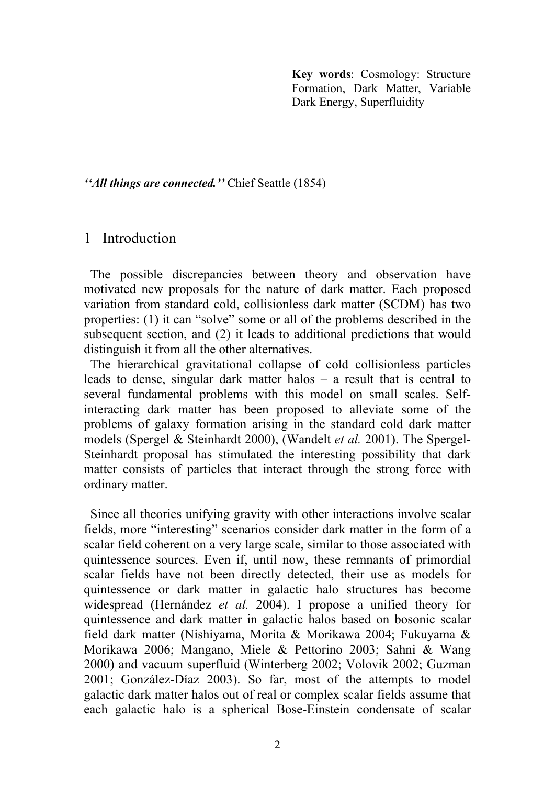**Key words**: Cosmology: Structure Formation, Dark Matter, Variable Dark Energy, Superfluidity

*''All things are connected.''* Chief Seattle (1854)

## 1 Introduction

 The possible discrepancies between theory and observation have motivated new proposals for the nature of dark matter. Each proposed variation from standard cold, collisionless dark matter (SCDM) has two properties: (1) it can "solve" some or all of the problems described in the subsequent section, and (2) it leads to additional predictions that would distinguish it from all the other alternatives.

 The hierarchical gravitational collapse of cold collisionless particles leads to dense, singular dark matter halos – a result that is central to several fundamental problems with this model on small scales. Selfinteracting dark matter has been proposed to alleviate some of the problems of galaxy formation arising in the standard cold dark matter models (Spergel & Steinhardt 2000), (Wandelt *et al.* 2001). The Spergel-Steinhardt proposal has stimulated the interesting possibility that dark matter consists of particles that interact through the strong force with ordinary matter.

Since all theories unifying gravity with other interactions involve scalar fields, more "interesting" scenarios consider dark matter in the form of a scalar field coherent on a very large scale, similar to those associated with quintessence sources. Even if, until now, these remnants of primordial scalar fields have not been directly detected, their use as models for quintessence or dark matter in galactic halo structures has become widespread (Hernández *et al.* 2004). I propose a unified theory for quintessence and dark matter in galactic halos based on bosonic scalar field dark matter (Nishiyama, Morita & Morikawa 2004; Fukuyama & Morikawa 2006; Mangano, Miele & Pettorino 2003; Sahni & Wang 2000) and vacuum superfluid (Winterberg 2002; Volovik 2002; Guzman 2001; González-Díaz 2003). So far, most of the attempts to model galactic dark matter halos out of real or complex scalar fields assume that each galactic halo is a spherical Bose-Einstein condensate of scalar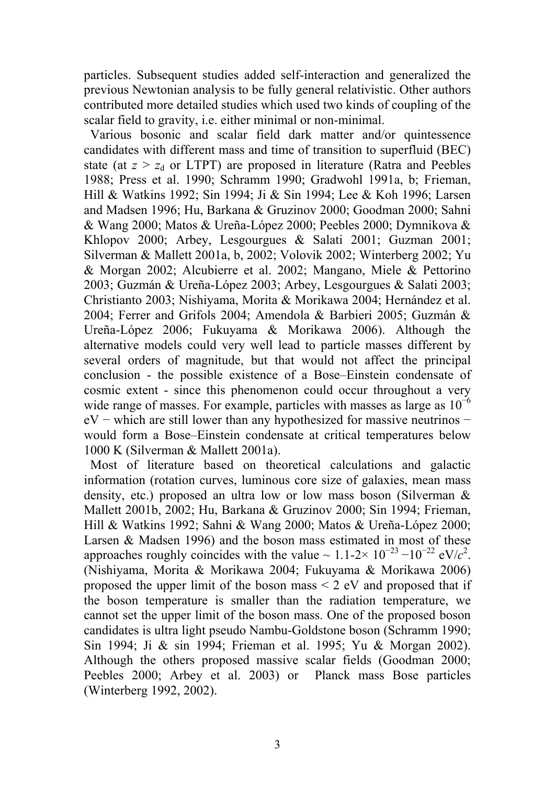particles. Subsequent studies added self-interaction and generalized the previous Newtonian analysis to be fully general relativistic. Other authors contributed more detailed studies which used two kinds of coupling of the scalar field to gravity, i.e. either minimal or non-minimal.

Various bosonic and scalar field dark matter and/or quintessence candidates with different mass and time of transition to superfluid (BEC) state (at  $z > z_d$  or LTPT) are proposed in literature (Ratra and Peebles 1988; Press et al. 1990; Schramm 1990; Gradwohl 1991a, b; Frieman, Hill & Watkins 1992; Sin 1994; Ji & Sin 1994; Lee & Koh 1996; Larsen and Madsen 1996; Hu, Barkana & Gruzinov 2000; Goodman 2000; Sahni & Wang 2000; Matos & Ureña-López 2000; Peebles 2000; Dymnikova & Khlopov 2000; Arbey, Lesgourgues & Salati 2001; Guzman 2001; Silverman & Mallett 2001a, b, 2002; Volovik 2002; Winterberg 2002; Yu & Morgan 2002; Alcubierre et al. 2002; Mangano, Miele & Pettorino 2003; Guzmán & Ureña-López 2003; Arbey, Lesgourgues & Salati 2003; Christianto 2003; Nishiyama, Morita & Morikawa 2004; Hernández et al. 2004; Ferrer and Grifols 2004; Amendola & Barbieri 2005; Guzmán & Ureña-López 2006; Fukuyama & Morikawa 2006). Although the alternative models could very well lead to particle masses different by several orders of magnitude, but that would not affect the principal conclusion - the possible existence of a Bose–Einstein condensate of cosmic extent - since this phenomenon could occur throughout a very wide range of masses. For example, particles with masses as large as  $10^{-6}$ eV − which are still lower than any hypothesized for massive neutrinos − would form a Bose–Einstein condensate at critical temperatures below 1000 K (Silverman & Mallett 2001a).

 Most of literature based on theoretical calculations and galactic information (rotation curves, luminous core size of galaxies, mean mass density, etc.) proposed an ultra low or low mass boson (Silverman & Mallett 2001b, 2002; Hu, Barkana & Gruzinov 2000; Sin 1994; Frieman, Hill & Watkins 1992; Sahni & Wang 2000; Matos & Ureña-López 2000; Larsen & Madsen 1996) and the boson mass estimated in most of these approaches roughly coincides with the value ~  $1.1$ -2×  $10^{-23}$  – $10^{-22}$  eV/ $c^2$ . (Nishiyama, Morita & Morikawa 2004; Fukuyama & Morikawa 2006) proposed the upper limit of the boson mass  $\leq$  2 eV and proposed that if the boson temperature is smaller than the radiation temperature, we cannot set the upper limit of the boson mass. One of the proposed boson candidates is ultra light pseudo Nambu-Goldstone boson (Schramm 1990; Sin 1994; Ji & sin 1994; Frieman et al. 1995; Yu & Morgan 2002). Although the others proposed massive scalar fields (Goodman 2000; Peebles 2000; Arbey et al. 2003) or Planck mass Bose particles (Winterberg 1992, 2002).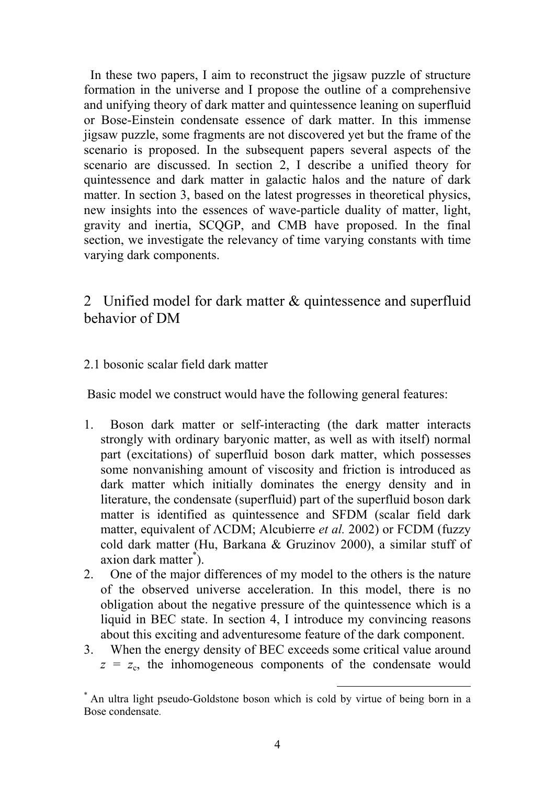In these two papers, I aim to reconstruct the jigsaw puzzle of structure formation in the universe and I propose the outline of a comprehensive and unifying theory of dark matter and quintessence leaning on superfluid or Bose-Einstein condensate essence of dark matter. In this immense jigsaw puzzle, some fragments are not discovered yet but the frame of the scenario is proposed. In the subsequent papers several aspects of the scenario are discussed. In section 2, I describe a unified theory for quintessence and dark matter in galactic halos and the nature of dark matter. In section 3, based on the latest progresses in theoretical physics, new insights into the essences of wave-particle duality of matter, light, gravity and inertia, SCQGP, and CMB have proposed. In the final section, we investigate the relevancy of time varying constants with time varying dark components.

2 Unified model for dark matter & quintessence and superfluid behavior of DM

## 2.1 bosonic scalar field dark matter

Basic model we construct would have the following general features:

- 1. Boson dark matter or self-interacting (the dark matter interacts strongly with ordinary baryonic matter, as well as with itself) normal part (excitations) of superfluid boson dark matter, which possesses some nonvanishing amount of viscosity and friction is introduced as dark matter which initially dominates the energy density and in literature, the condensate (superfluid) part of the superfluid boson dark matter is identified as quintessence and SFDM (scalar field dark matter, equivalent of ΛCDM; Alcubierre *et al.* 2002) or FCDM (fuzzy cold dark matter (Hu, Barkana & Gruzinov 2000), a similar stuff of axion dark matter<sup>\*</sup>).
- 2. One of the major differences of my model to the others is the nature of the observed universe acceleration. In this model, there is no obligation about the negative pressure of the quintessence which is a liquid in BEC state. In section 4, I introduce my convincing reasons about this exciting and adventuresome feature of the dark component.
- 3. When the energy density of BEC exceeds some critical value around  $z = z<sub>c</sub>$ , the inhomogeneous components of the condensate would

<sup>\*</sup> An ultra light pseudo-Goldstone boson which is cold by virtue of being born in a Bose condensate.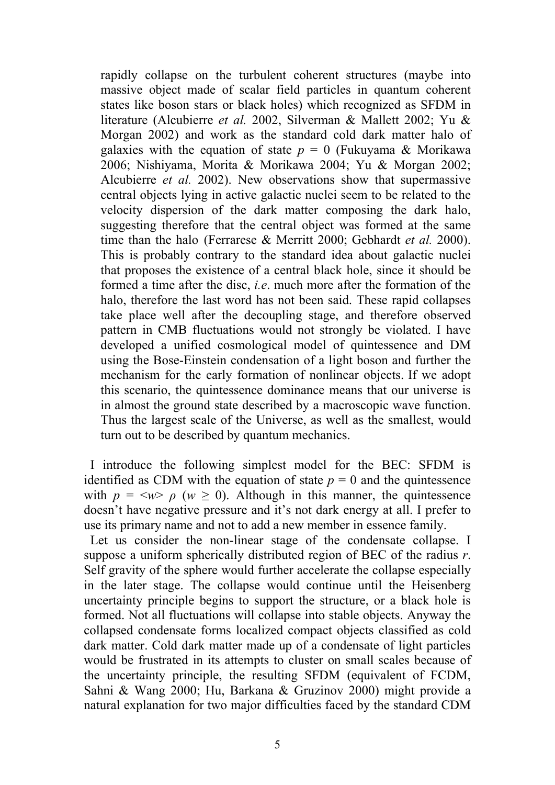rapidly collapse on the turbulent coherent structures (maybe into massive object made of scalar field particles in quantum coherent states like boson stars or black holes) which recognized as SFDM in literature (Alcubierre *et al.* 2002, Silverman & Mallett 2002; Yu & Morgan 2002) and work as the standard cold dark matter halo of galaxies with the equation of state  $p = 0$  (Fukuyama & Morikawa 2006; Nishiyama, Morita & Morikawa 2004; Yu & Morgan 2002; Alcubierre *et al.* 2002). New observations show that supermassive central objects lying in active galactic nuclei seem to be related to the velocity dispersion of the dark matter composing the dark halo, suggesting therefore that the central object was formed at the same time than the halo (Ferrarese & Merritt 2000; Gebhardt *et al.* 2000). This is probably contrary to the standard idea about galactic nuclei that proposes the existence of a central black hole, since it should be formed a time after the disc, *i.e*. much more after the formation of the halo, therefore the last word has not been said. These rapid collapses take place well after the decoupling stage, and therefore observed pattern in CMB fluctuations would not strongly be violated. I have developed a unified cosmological model of quintessence and DM using the Bose-Einstein condensation of a light boson and further the mechanism for the early formation of nonlinear objects. If we adopt this scenario, the quintessence dominance means that our universe is in almost the ground state described by a macroscopic wave function. Thus the largest scale of the Universe, as well as the smallest, would turn out to be described by quantum mechanics.

 I introduce the following simplest model for the BEC: SFDM is identified as CDM with the equation of state  $p = 0$  and the quintessence with  $p = \langle w \rangle$   $\rho$  ( $w \ge 0$ ). Although in this manner, the quintessence doesn't have negative pressure and it's not dark energy at all. I prefer to use its primary name and not to add a new member in essence family.

 Let us consider the non-linear stage of the condensate collapse. I suppose a uniform spherically distributed region of BEC of the radius *r*. Self gravity of the sphere would further accelerate the collapse especially in the later stage. The collapse would continue until the Heisenberg uncertainty principle begins to support the structure, or a black hole is formed. Not all fluctuations will collapse into stable objects. Anyway the collapsed condensate forms localized compact objects classified as cold dark matter. Cold dark matter made up of a condensate of light particles would be frustrated in its attempts to cluster on small scales because of the uncertainty principle, the resulting SFDM (equivalent of FCDM, Sahni & Wang 2000; Hu, Barkana & Gruzinov 2000) might provide a natural explanation for two major difficulties faced by the standard CDM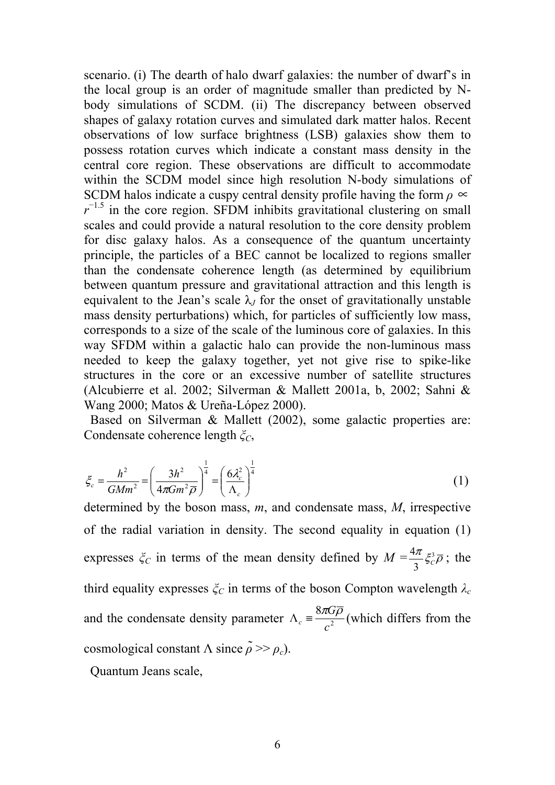scenario. (i) The dearth of halo dwarf galaxies: the number of dwarf's in the local group is an order of magnitude smaller than predicted by Nbody simulations of SCDM. (ii) The discrepancy between observed shapes of galaxy rotation curves and simulated dark matter halos. Recent observations of low surface brightness (LSB) galaxies show them to possess rotation curves which indicate a constant mass density in the central core region. These observations are difficult to accommodate within the SCDM model since high resolution N-body simulations of SCDM halos indicate a cuspy central density profile having the form  $\rho \propto$  $r^{-1.5}$  in the core region. SFDM inhibits gravitational clustering on small scales and could provide a natural resolution to the core density problem for disc galaxy halos. As a consequence of the quantum uncertainty principle, the particles of a BEC cannot be localized to regions smaller than the condensate coherence length (as determined by equilibrium between quantum pressure and gravitational attraction and this length is equivalent to the Jean's scale  $\lambda$ <sub>*I*</sub> for the onset of gravitationally unstable mass density perturbations) which, for particles of sufficiently low mass, corresponds to a size of the scale of the luminous core of galaxies. In this way SFDM within a galactic halo can provide the non-luminous mass needed to keep the galaxy together, yet not give rise to spike-like structures in the core or an excessive number of satellite structures (Alcubierre et al. 2002; Silverman & Mallett 2001a, b, 2002; Sahni & Wang 2000; Matos & Ureña-López 2000).

 Based on Silverman & Mallett (2002), some galactic properties are: Condensate coherence length *ξC*,

$$
\xi_c = \frac{h^2}{GMm^2} = \left(\frac{3h^2}{4\pi Gm^2 \overline{\rho}}\right)^{\frac{1}{4}} = \left(\frac{6\lambda_c^2}{\Lambda_c}\right)^{\frac{1}{4}}
$$
(1)

determined by the boson mass, *m*, and condensate mass, *M*, irrespective of the radial variation in density. The second equality in equation (1) expresses  $\zeta_c$  in terms of the mean density defined by  $M = \frac{4\pi}{3} \zeta_c^3 \overline{\rho}$ 3  $\frac{4\pi}{2} \xi_c^3 \overline{\rho}$ ; the third equality expresses  $\zeta_c$  in terms of the boson Compton wavelength  $\lambda_c$ and the condensate density parameter  $\Lambda_c = \frac{8\pi G}{c^2}$ *c G*  $\Lambda_c \equiv \frac{8\pi G \rho}{r^2}$  (which differs from the cosmological constant  $\Lambda$  since  $\tilde{\rho}$  >>  $\rho_c$ ).

Quantum Jeans scale,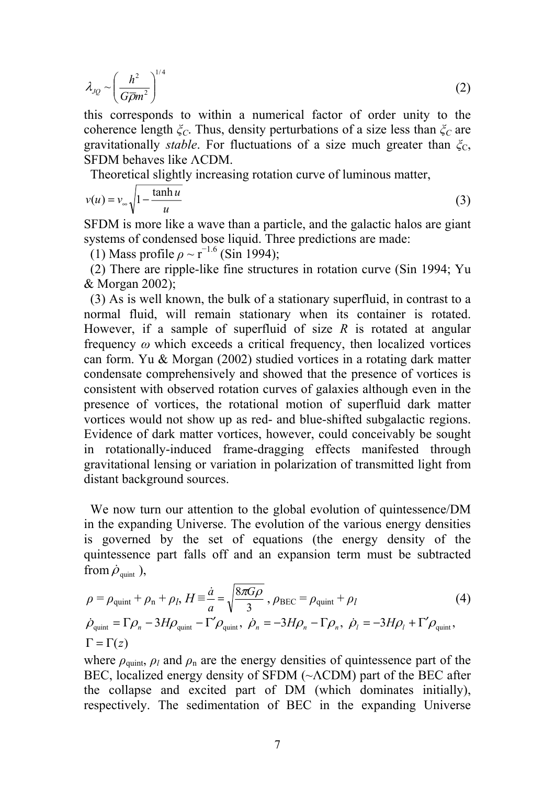$$
\lambda_{JQ} \sim \left(\frac{h^2}{G\overline{\rho}m^2}\right)^{1/4} \tag{2}
$$

this corresponds to within a numerical factor of order unity to the coherence length *ξC*. Thus, density perturbations of a size less than *ξC* are gravitationally *stable*. For fluctuations of a size much greater than  $\zeta_c$ , SFDM behaves like ΛCDM.

Theoretical slightly increasing rotation curve of luminous matter,

$$
v(u) = v_{\infty} \sqrt{1 - \frac{\tanh u}{u}}
$$
 (3)

SFDM is more like a wave than a particle, and the galactic halos are giant systems of condensed bose liquid. Three predictions are made:

(1) Mass profile  $\rho \sim r^{-1.6}$  (Sin 1994);

 (2) There are ripple-like fine structures in rotation curve (Sin 1994; Yu & Morgan 2002);

 (3) As is well known, the bulk of a stationary superfluid, in contrast to a normal fluid, will remain stationary when its container is rotated. However, if a sample of superfluid of size *R* is rotated at angular frequency *ω* which exceeds a critical frequency, then localized vortices can form. Yu & Morgan (2002) studied vortices in a rotating dark matter condensate comprehensively and showed that the presence of vortices is consistent with observed rotation curves of galaxies although even in the presence of vortices, the rotational motion of superfluid dark matter vortices would not show up as red- and blue-shifted subgalactic regions. Evidence of dark matter vortices, however, could conceivably be sought in rotationally-induced frame-dragging effects manifested through gravitational lensing or variation in polarization of transmitted light from distant background sources.

 We now turn our attention to the global evolution of quintessence/DM in the expanding Universe. The evolution of the various energy densities is governed by the set of equations (the energy density of the quintessence part falls off and an expansion term must be subtracted from  $\dot{\rho}_{\text{unit}}$  ),

$$
\rho = \rho_{\text{quint}} + \rho_{\text{n}} + \rho_{l}, H \equiv \frac{\dot{a}}{a} = \sqrt{\frac{8\pi G\rho}{3}}, \rho_{\text{BEC}} = \rho_{\text{quint}} + \rho_{l}
$$
\n
$$
\dot{\rho}_{\text{quint}} = \Gamma \rho_{\text{n}} - 3H\rho_{\text{quint}} - \Gamma' \rho_{\text{quint}}, \ \dot{\rho}_{\text{n}} = -3H\rho_{\text{n}} - \Gamma \rho_{\text{n}}, \ \dot{\rho}_{l} = -3H\rho_{l} + \Gamma' \rho_{\text{quint}},
$$
\n
$$
\Gamma = \Gamma(z)
$$
\n(4)

where  $\rho_{\text{quint,}} \rho_l$  and  $\rho_n$  are the energy densities of quintessence part of the BEC, localized energy density of SFDM (~ΛCDM) part of the BEC after the collapse and excited part of DM (which dominates initially), respectively. The sedimentation of BEC in the expanding Universe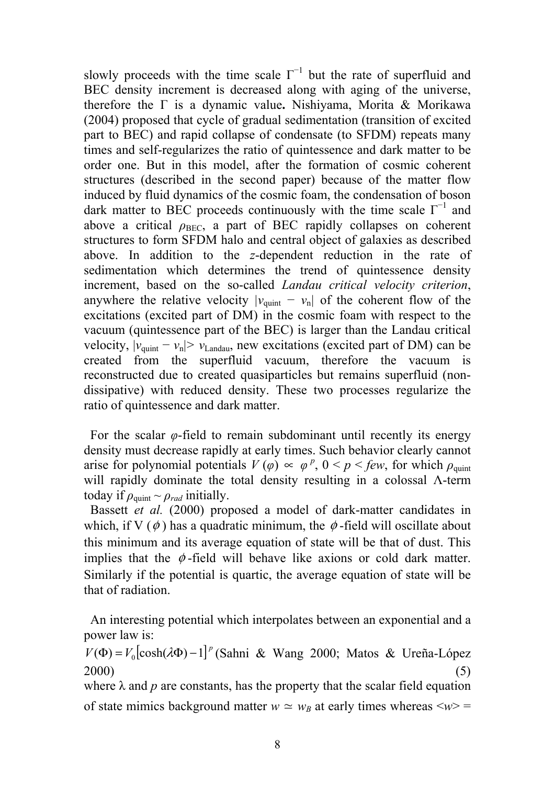slowly proceeds with the time scale  $\Gamma^{-1}$  but the rate of superfluid and BEC density increment is decreased along with aging of the universe, therefore the Γ is a dynamic value**.** Nishiyama, Morita & Morikawa (2004) proposed that cycle of gradual sedimentation (transition of excited part to BEC) and rapid collapse of condensate (to SFDM) repeats many times and self-regularizes the ratio of quintessence and dark matter to be order one. But in this model, after the formation of cosmic coherent structures (described in the second paper) because of the matter flow induced by fluid dynamics of the cosmic foam, the condensation of boson dark matter to BEC proceeds continuously with the time scale  $\Gamma^{-1}$  and above a critical  $\rho_{BEC}$ , a part of BEC rapidly collapses on coherent structures to form SFDM halo and central object of galaxies as described above. In addition to the *z*-dependent reduction in the rate of sedimentation which determines the trend of quintessence density increment, based on the so-called *Landau critical velocity criterion*, anywhere the relative velocity  $|v_{\text{quint}} - v_{\text{n}}|$  of the coherent flow of the excitations (excited part of DM) in the cosmic foam with respect to the vacuum (quintessence part of the BEC) is larger than the Landau critical velocity,  $|v_{\text{quint}} - v_{\text{n}}| > v_{\text{Landau}}$ , new excitations (excited part of DM) can be created from the superfluid vacuum, therefore the vacuum is reconstructed due to created quasiparticles but remains superfluid (nondissipative) with reduced density. These two processes regularize the ratio of quintessence and dark matter.

For the scalar  $\varphi$ -field to remain subdominant until recently its energy density must decrease rapidly at early times. Such behavior clearly cannot arise for polynomial potentials  $V(\varphi) \propto \varphi^p$ ,  $0 \lt p \lt few$ , for which  $\rho_{\text{quint}}$ will rapidly dominate the total density resulting in a colossal Λ-term today if  $\rho_{\text{quint}} \sim \rho_{rad}$  initially.

 Bassett *et al.* (2000) proposed a model of dark-matter candidates in which, if V ( $\phi$ ) has a quadratic minimum, the  $\phi$ -field will oscillate about this minimum and its average equation of state will be that of dust. This implies that the  $\phi$ -field will behave like axions or cold dark matter. Similarly if the potential is quartic, the average equation of state will be that of radiation.

 An interesting potential which interpolates between an exponential and a power law is:

 $V(\Phi) = V_0 [\cosh(\lambda \Phi) - 1]^p$  (Sahni & Wang 2000; Matos & Ureña-López  $2000)$  (5) where  $\lambda$  and  $p$  are constants, has the property that the scalar field equation

of state mimics background matter  $w \simeq w_B$  at early times whereas  $\langle w \rangle =$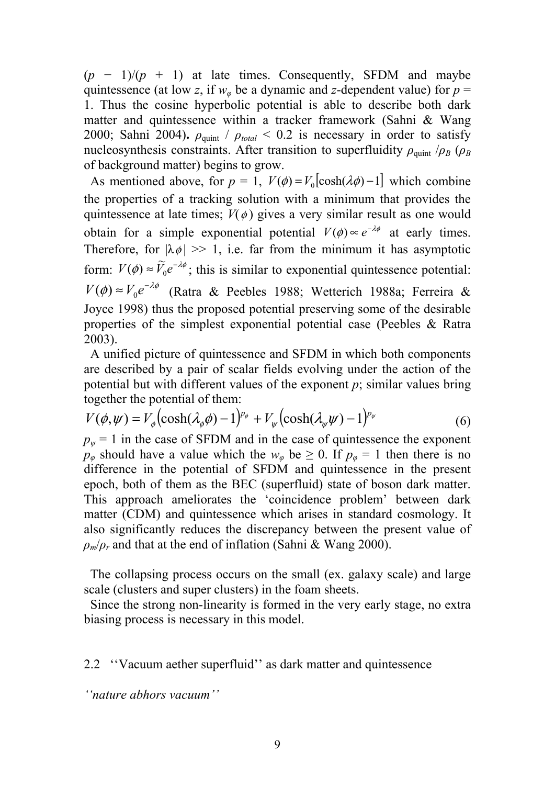$(p - 1)/(p + 1)$  at late times. Consequently, SFDM and maybe quintessence (at low *z*, if  $w_{\varphi}$  be a dynamic and *z*-dependent value) for  $p =$ 1. Thus the cosine hyperbolic potential is able to describe both dark matter and quintessence within a tracker framework (Sahni & Wang 2000; Sahni 2004).  $\rho_{\text{quant}}$  /  $\rho_{\text{total}}$  < 0.2 is necessary in order to satisfy nucleosynthesis constraints. After transition to superfluidity  $\rho_{\text{quint}}/\rho_B(\rho_B)$ of background matter) begins to grow.

As mentioned above, for  $p = 1$ ,  $V(\phi) = V_0 [\cosh(\lambda \phi) - 1]$  which combine the properties of a tracking solution with a minimum that provides the quintessence at late times;  $V(\phi)$  gives a very similar result as one would obtain for a simple exponential potential  $V(\phi) \propto e^{-\lambda \phi}$  at early times. Therefore, for  $|\lambda \phi| \gg 1$ , i.e. far from the minimum it has asymptotic form:  $V(\phi) \approx \widetilde{V}_0 e^{-\lambda \phi}$ ; this is similar to exponential quintessence potential:  $V(\phi) \approx V_0 e^{-\lambda \phi}$  (Ratra & Peebles 1988; Wetterich 1988a; Ferreira & Joyce 1998) thus the proposed potential preserving some of the desirable properties of the simplest exponential potential case (Peebles & Ratra 2003).

 A unified picture of quintessence and SFDM in which both components are described by a pair of scalar fields evolving under the action of the potential but with different values of the exponent *p*; similar values bring together the potential of them:

$$
V(\phi,\psi) = V_{\phi}\left(\cosh(\lambda_{\phi}\phi) - 1\right)^{p_{\phi}} + V_{\psi}\left(\cosh(\lambda_{\psi}\psi) - 1\right)^{p_{\psi}}
$$
(6)

 $p_{\psi} = 1$  in the case of SFDM and in the case of quintessence the exponent *p*<sup>*φ*</sup> should have a value which the  $w_{\varphi}$  be  $\geq 0$ . If  $p_{\varphi} = 1$  then there is no difference in the potential of SFDM and quintessence in the present epoch, both of them as the BEC (superfluid) state of boson dark matter. This approach ameliorates the 'coincidence problem' between dark matter (CDM) and quintessence which arises in standard cosmology. It also significantly reduces the discrepancy between the present value of  $\rho_m/\rho_r$  and that at the end of inflation (Sahni & Wang 2000).

 The collapsing process occurs on the small (ex. galaxy scale) and large scale (clusters and super clusters) in the foam sheets.

 Since the strong non-linearity is formed in the very early stage, no extra biasing process is necessary in this model.

2.2 ''Vacuum aether superfluid'' as dark matter and quintessence

*''nature abhors vacuum''*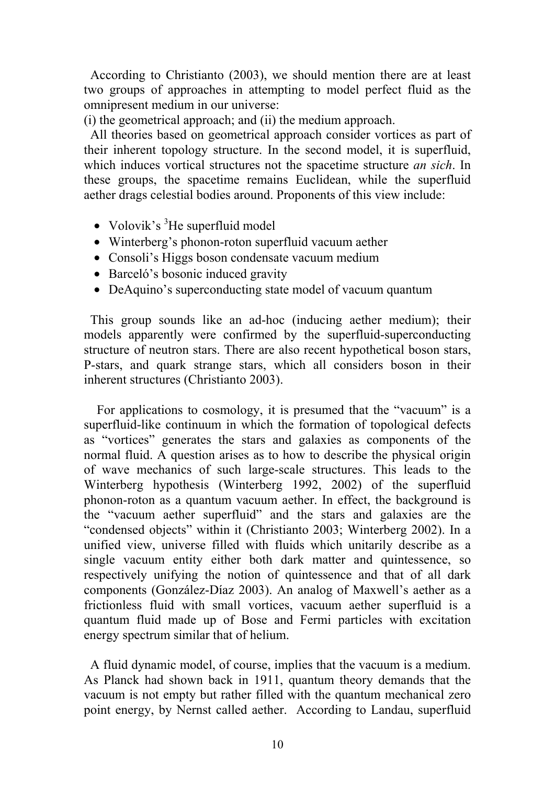According to Christianto (2003), we should mention there are at least two groups of approaches in attempting to model perfect fluid as the omnipresent medium in our universe:

(i) the geometrical approach; and (ii) the medium approach.

 All theories based on geometrical approach consider vortices as part of their inherent topology structure. In the second model, it is superfluid, which induces vortical structures not the spacetime structure *an sich*. In these groups, the spacetime remains Euclidean, while the superfluid aether drags celestial bodies around. Proponents of this view include:

- Volovik's  ${}^{3}$ He superfluid model
- Winterberg's phonon-roton superfluid vacuum aether
- Consoli's Higgs boson condensate vacuum medium
- Barceló's bosonic induced gravity
- DeAquino's superconducting state model of vacuum quantum

 This group sounds like an ad-hoc (inducing aether medium); their models apparently were confirmed by the superfluid-superconducting structure of neutron stars. There are also recent hypothetical boson stars, P-stars, and quark strange stars, which all considers boson in their inherent structures (Christianto 2003).

For applications to cosmology, it is presumed that the "vacuum" is a superfluid-like continuum in which the formation of topological defects as "vortices" generates the stars and galaxies as components of the normal fluid. A question arises as to how to describe the physical origin of wave mechanics of such large-scale structures. This leads to the Winterberg hypothesis (Winterberg 1992, 2002) of the superfluid phonon-roton as a quantum vacuum aether. In effect, the background is the "vacuum aether superfluid" and the stars and galaxies are the "condensed objects" within it (Christianto 2003; Winterberg 2002). In a unified view, universe filled with fluids which unitarily describe as a single vacuum entity either both dark matter and quintessence, so respectively unifying the notion of quintessence and that of all dark components (González-Díaz 2003). An analog of Maxwell's aether as a frictionless fluid with small vortices, vacuum aether superfluid is a quantum fluid made up of Bose and Fermi particles with excitation energy spectrum similar that of helium.

A fluid dynamic model, of course, implies that the vacuum is a medium. As Planck had shown back in 1911, quantum theory demands that the vacuum is not empty but rather filled with the quantum mechanical zero point energy, by Nernst called aether. According to Landau, superfluid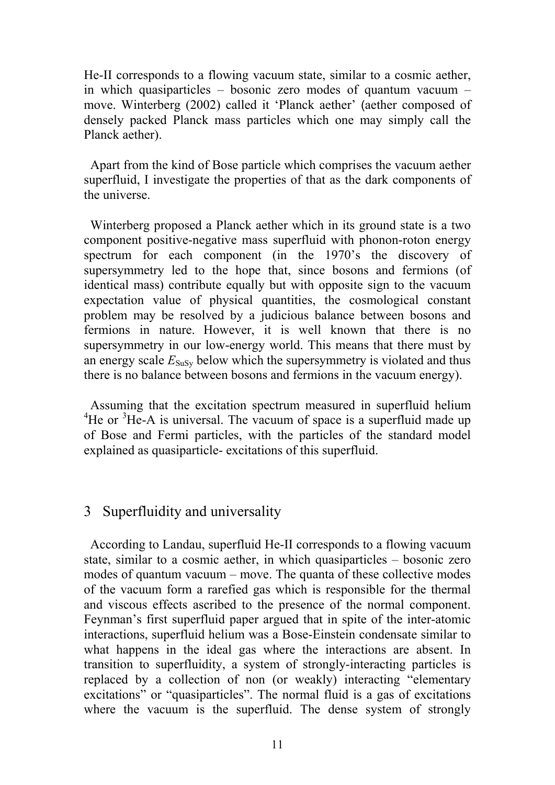He-II corresponds to a flowing vacuum state, similar to a cosmic aether, in which quasiparticles – bosonic zero modes of quantum vacuum – move. Winterberg (2002) called it 'Planck aether' (aether composed of densely packed Planck mass particles which one may simply call the Planck aether).

 Apart from the kind of Bose particle which comprises the vacuum aether superfluid, I investigate the properties of that as the dark components of the universe.

 Winterberg proposed a Planck aether which in its ground state is a two component positive-negative mass superfluid with phonon-roton energy spectrum for each component (in the 1970's the discovery of supersymmetry led to the hope that, since bosons and fermions (of identical mass) contribute equally but with opposite sign to the vacuum expectation value of physical quantities, the cosmological constant problem may be resolved by a judicious balance between bosons and fermions in nature. However, it is well known that there is no supersymmetry in our low-energy world. This means that there must by an energy scale  $E_{SUSy}$  below which the supersymmetry is violated and thus there is no balance between bosons and fermions in the vacuum energy).

 Assuming that the excitation spectrum measured in superfluid helium  ${}^{4}$ He or  ${}^{3}$ He-A is universal. The vacuum of space is a superfluid made up of Bose and Fermi particles, with the particles of the standard model explained as quasiparticle- excitations of this superfluid.

# 3 Superfluidity and universality

 According to Landau, superfluid He-II corresponds to a flowing vacuum state, similar to a cosmic aether, in which quasiparticles – bosonic zero modes of quantum vacuum – move. The quanta of these collective modes of the vacuum form a rarefied gas which is responsible for the thermal and viscous effects ascribed to the presence of the normal component. Feynman's first superfluid paper argued that in spite of the inter-atomic interactions, superfluid helium was a Bose-Einstein condensate similar to what happens in the ideal gas where the interactions are absent. In transition to superfluidity, a system of strongly-interacting particles is replaced by a collection of non (or weakly) interacting "elementary excitations" or "quasiparticles". The normal fluid is a gas of excitations where the vacuum is the superfluid. The dense system of strongly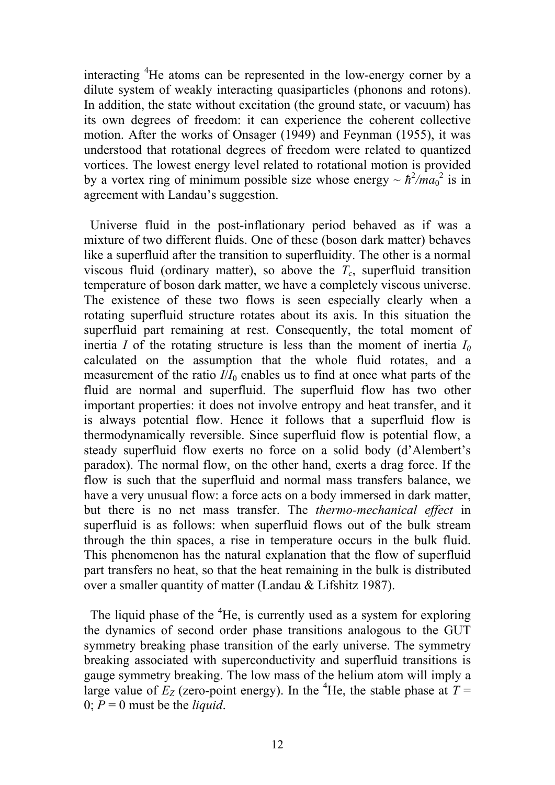interacting <sup>4</sup>He atoms can be represented in the low-energy corner by a dilute system of weakly interacting quasiparticles (phonons and rotons). In addition, the state without excitation (the ground state, or vacuum) has its own degrees of freedom: it can experience the coherent collective motion. After the works of Onsager (1949) and Feynman (1955), it was understood that rotational degrees of freedom were related to quantized vortices. The lowest energy level related to rotational motion is provided by a vortex ring of minimum possible size whose energy  $\sim \hbar^2/ma_0^2$  is in agreement with Landau's suggestion.

 Universe fluid in the post-inflationary period behaved as if was a mixture of two different fluids. One of these (boson dark matter) behaves like a superfluid after the transition to superfluidity. The other is a normal viscous fluid (ordinary matter), so above the  $T_c$ , superfluid transition temperature of boson dark matter, we have a completely viscous universe. The existence of these two flows is seen especially clearly when a rotating superfluid structure rotates about its axis. In this situation the superfluid part remaining at rest. Consequently, the total moment of inertia *I* of the rotating structure is less than the moment of inertia  $I_0$ calculated on the assumption that the whole fluid rotates, and a measurement of the ratio  $I/I_0$  enables us to find at once what parts of the fluid are normal and superfluid. The superfluid flow has two other important properties: it does not involve entropy and heat transfer, and it is always potential flow. Hence it follows that a superfluid flow is thermodynamically reversible. Since superfluid flow is potential flow, a steady superfluid flow exerts no force on a solid body (d'Alembert's paradox). The normal flow, on the other hand, exerts a drag force. If the flow is such that the superfluid and normal mass transfers balance, we have a very unusual flow: a force acts on a body immersed in dark matter, but there is no net mass transfer. The *thermo-mechanical effect* in superfluid is as follows: when superfluid flows out of the bulk stream through the thin spaces, a rise in temperature occurs in the bulk fluid. This phenomenon has the natural explanation that the flow of superfluid part transfers no heat, so that the heat remaining in the bulk is distributed over a smaller quantity of matter (Landau & Lifshitz 1987).

The liquid phase of the <sup>4</sup>He, is currently used as a system for exploring the dynamics of second order phase transitions analogous to the GUT symmetry breaking phase transition of the early universe. The symmetry breaking associated with superconductivity and superfluid transitions is gauge symmetry breaking. The low mass of the helium atom will imply a large value of  $E_z$  (zero-point energy). In the <sup>4</sup>He, the stable phase at  $T =$ 0;  $P = 0$  must be the *liquid*.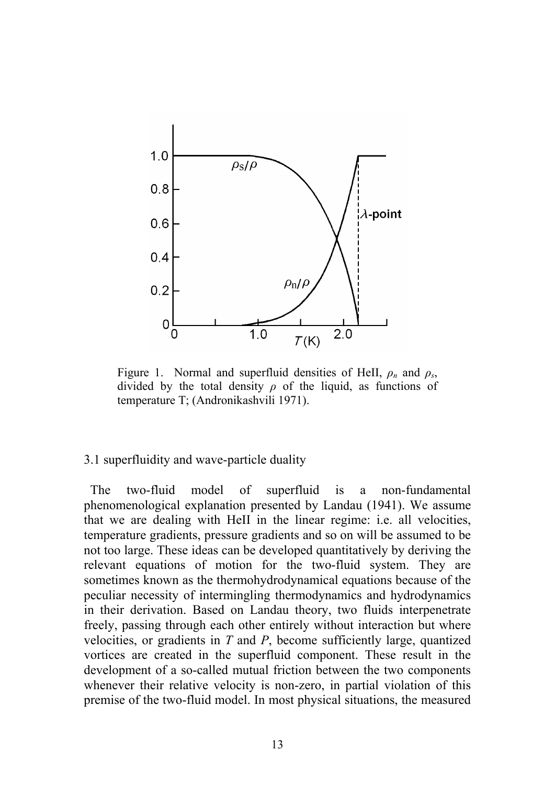

Figure 1. Normal and superfluid densities of HeII,  $\rho_n$  and  $\rho_s$ , divided by the total density *ρ* of the liquid, as functions of temperature T; (Andronikashvili 1971).

#### 3.1 superfluidity and wave-particle duality

 The two-fluid model of superfluid is a non-fundamental phenomenological explanation presented by Landau (1941). We assume that we are dealing with HeII in the linear regime: i.e. all velocities, temperature gradients, pressure gradients and so on will be assumed to be not too large. These ideas can be developed quantitatively by deriving the relevant equations of motion for the two-fluid system. They are sometimes known as the thermohydrodynamical equations because of the peculiar necessity of intermingling thermodynamics and hydrodynamics in their derivation. Based on Landau theory, two fluids interpenetrate freely, passing through each other entirely without interaction but where velocities, or gradients in *T* and *P*, become sufficiently large, quantized vortices are created in the superfluid component. These result in the development of a so-called mutual friction between the two components whenever their relative velocity is non-zero, in partial violation of this premise of the two-fluid model. In most physical situations, the measured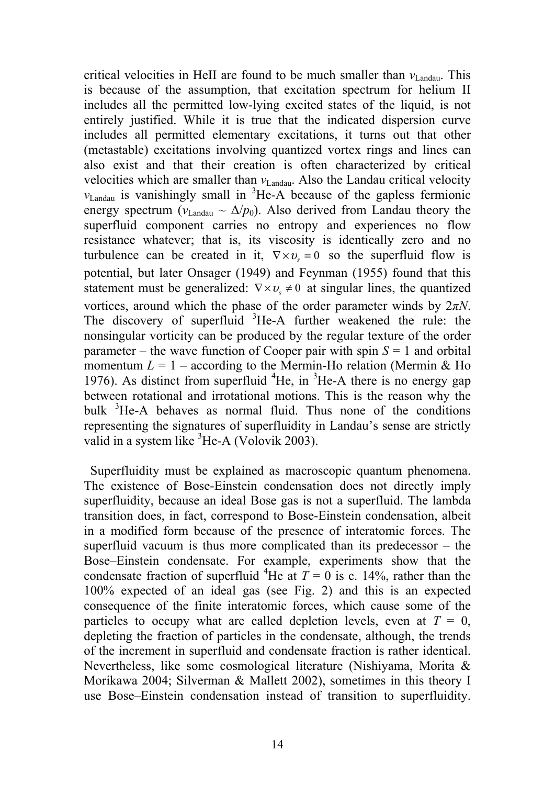critical velocities in HeII are found to be much smaller than  $v_{\text{Landau}}$ . This is because of the assumption, that excitation spectrum for helium II includes all the permitted low-lying excited states of the liquid, is not entirely justified. While it is true that the indicated dispersion curve includes all permitted elementary excitations, it turns out that other (metastable) excitations involving quantized vortex rings and lines can also exist and that their creation is often characterized by critical velocities which are smaller than  $v_{Landau}$ . Also the Landau critical velocity  $v_{\text{Landau}}$  is vanishingly small in <sup>3</sup>He-A because of the gapless fermionic energy spectrum ( $v_{\text{Landau}} \sim \Delta/p_0$ ). Also derived from Landau theory the superfluid component carries no entropy and experiences no flow resistance whatever; that is, its viscosity is identically zero and no turbulence can be created in it,  $\nabla \times v_s = 0$  so the superfluid flow is potential, but later Onsager (1949) and Feynman (1955) found that this statement must be generalized:  $\nabla \times v_{s} \neq 0$  at singular lines, the quantized vortices, around which the phase of the order parameter winds by 2*πN*. The discovery of superfluid <sup>3</sup>He-A further weakened the rule: the nonsingular vorticity can be produced by the regular texture of the order parameter – the wave function of Cooper pair with spin  $S = 1$  and orbital momentum  $L = 1$  – according to the Mermin-Ho relation (Mermin & Ho 1976). As distinct from superfluid  ${}^{4}$ He, in  ${}^{3}$ He-A there is no energy gap between rotational and irrotational motions. This is the reason why the bulk <sup>3</sup>He-A behaves as normal fluid. Thus none of the conditions representing the signatures of superfluidity in Landau's sense are strictly valid in a system like <sup>3</sup>He-A (Volovik 2003).

 Superfluidity must be explained as macroscopic quantum phenomena. The existence of Bose-Einstein condensation does not directly imply superfluidity, because an ideal Bose gas is not a superfluid. The lambda transition does, in fact, correspond to Bose-Einstein condensation, albeit in a modified form because of the presence of interatomic forces. The superfluid vacuum is thus more complicated than its predecessor – the Bose–Einstein condensate. For example, experiments show that the condensate fraction of superfluid <sup>4</sup>He at  $T = 0$  is c. 14%, rather than the 100% expected of an ideal gas (see Fig. 2) and this is an expected consequence of the finite interatomic forces, which cause some of the particles to occupy what are called depletion levels, even at  $T = 0$ , depleting the fraction of particles in the condensate, although, the trends of the increment in superfluid and condensate fraction is rather identical. Nevertheless, like some cosmological literature (Nishiyama, Morita & Morikawa 2004; Silverman & Mallett 2002), sometimes in this theory I use Bose–Einstein condensation instead of transition to superfluidity.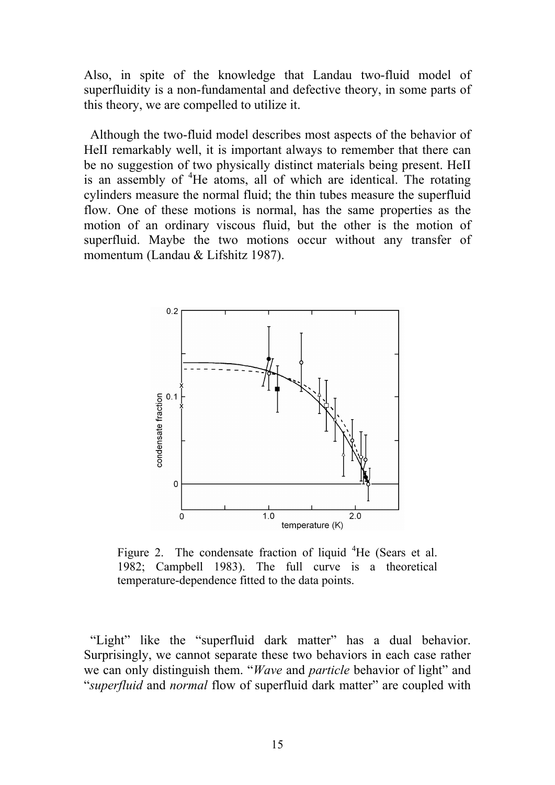Also, in spite of the knowledge that Landau two-fluid model of superfluidity is a non-fundamental and defective theory, in some parts of this theory, we are compelled to utilize it.

 Although the two-fluid model describes most aspects of the behavior of HeII remarkably well, it is important always to remember that there can be no suggestion of two physically distinct materials being present. HeII is an assembly of <sup>4</sup>He atoms, all of which are identical. The rotating cylinders measure the normal fluid; the thin tubes measure the superfluid flow. One of these motions is normal, has the same properties as the motion of an ordinary viscous fluid, but the other is the motion of superfluid. Maybe the two motions occur without any transfer of momentum (Landau & Lifshitz 1987).



Figure 2. The condensate fraction of liquid  ${}^{4}$ He (Sears et al. 1982; Campbell 1983). The full curve is a theoretical temperature-dependence fitted to the data points.

 "Light" like the "superfluid dark matter" has a dual behavior. Surprisingly, we cannot separate these two behaviors in each case rather we can only distinguish them. "*Wave* and *particle* behavior of light" and "*superfluid* and *normal* flow of superfluid dark matter" are coupled with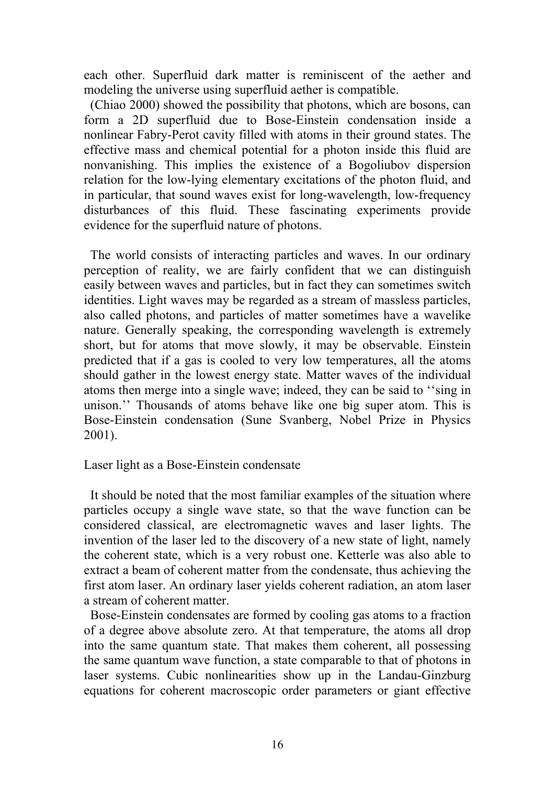each other. Superfluid dark matter is reminiscent of the aether and modeling the universe using superfluid aether is compatible.

 (Chiao 2000) showed the possibility that photons, which are bosons, can form a 2D superfluid due to Bose-Einstein condensation inside a nonlinear Fabry-Perot cavity filled with atoms in their ground states. The effective mass and chemical potential for a photon inside this fluid are nonvanishing. This implies the existence of a Bogoliubov dispersion relation for the low-lying elementary excitations of the photon fluid, and in particular, that sound waves exist for long-wavelength, low-frequency disturbances of this fluid. These fascinating experiments provide evidence for the superfluid nature of photons.

 The world consists of interacting particles and waves. In our ordinary perception of reality, we are fairly confident that we can distinguish easily between waves and particles, but in fact they can sometimes switch identities. Light waves may be regarded as a stream of massless particles, also called photons, and particles of matter sometimes have a wavelike nature. Generally speaking, the corresponding wavelength is extremely short, but for atoms that move slowly, it may be observable. Einstein predicted that if a gas is cooled to very low temperatures, all the atoms should gather in the lowest energy state. Matter waves of the individual atoms then merge into a single wave; indeed, they can be said to ''sing in unison.'' Thousands of atoms behave like one big super atom. This is Bose-Einstein condensation (Sune Svanberg, Nobel Prize in Physics 2001).

## Laser light as a Bose-Einstein condensate

 It should be noted that the most familiar examples of the situation where particles occupy a single wave state, so that the wave function can be considered classical, are electromagnetic waves and laser lights. The invention of the laser led to the discovery of a new state of light, namely the coherent state, which is a very robust one. Ketterle was also able to extract a beam of coherent matter from the condensate, thus achieving the first atom laser. An ordinary laser yields coherent radiation, an atom laser a stream of coherent matter.

 Bose-Einstein condensates are formed by cooling gas atoms to a fraction of a degree above absolute zero. At that temperature, the atoms all drop into the same quantum state. That makes them coherent, all possessing the same quantum wave function, a state comparable to that of photons in laser systems. Cubic nonlinearities show up in the Landau-Ginzburg equations for coherent macroscopic order parameters or giant effective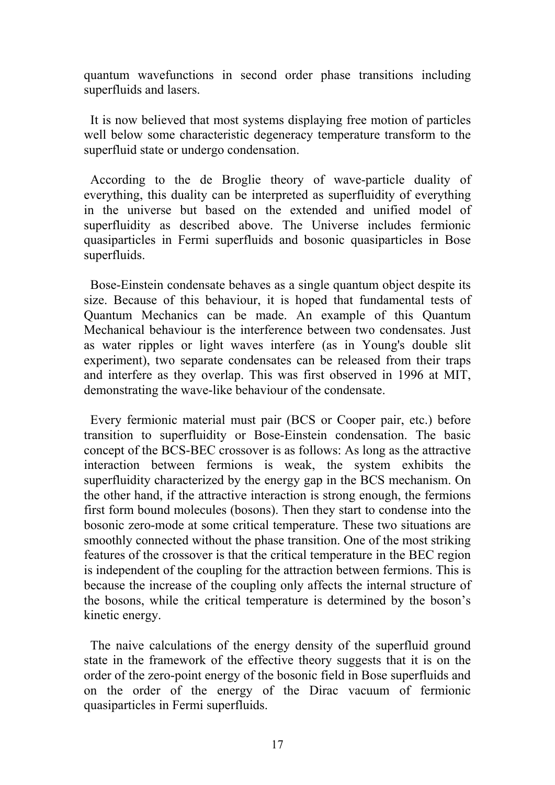quantum wavefunctions in second order phase transitions including superfluids and lasers.

 It is now believed that most systems displaying free motion of particles well below some characteristic degeneracy temperature transform to the superfluid state or undergo condensation.

 According to the de Broglie theory of wave-particle duality of everything, this duality can be interpreted as superfluidity of everything in the universe but based on the extended and unified model of superfluidity as described above. The Universe includes fermionic quasiparticles in Fermi superfluids and bosonic quasiparticles in Bose superfluids.

 Bose-Einstein condensate behaves as a single quantum object despite its size. Because of this behaviour, it is hoped that fundamental tests of Quantum Mechanics can be made. An example of this Quantum Mechanical behaviour is the interference between two condensates. Just as water ripples or light waves interfere (as in Young's double slit experiment), two separate condensates can be released from their traps and interfere as they overlap. This was first observed in 1996 at MIT, demonstrating the wave-like behaviour of the condensate.

 Every fermionic material must pair (BCS or Cooper pair, etc.) before transition to superfluidity or Bose-Einstein condensation. The basic concept of the BCS-BEC crossover is as follows: As long as the attractive interaction between fermions is weak, the system exhibits the superfluidity characterized by the energy gap in the BCS mechanism. On the other hand, if the attractive interaction is strong enough, the fermions first form bound molecules (bosons). Then they start to condense into the bosonic zero-mode at some critical temperature. These two situations are smoothly connected without the phase transition. One of the most striking features of the crossover is that the critical temperature in the BEC region is independent of the coupling for the attraction between fermions. This is because the increase of the coupling only affects the internal structure of the bosons, while the critical temperature is determined by the boson's kinetic energy.

 The naive calculations of the energy density of the superfluid ground state in the framework of the effective theory suggests that it is on the order of the zero-point energy of the bosonic field in Bose superfluids and on the order of the energy of the Dirac vacuum of fermionic quasiparticles in Fermi superfluids.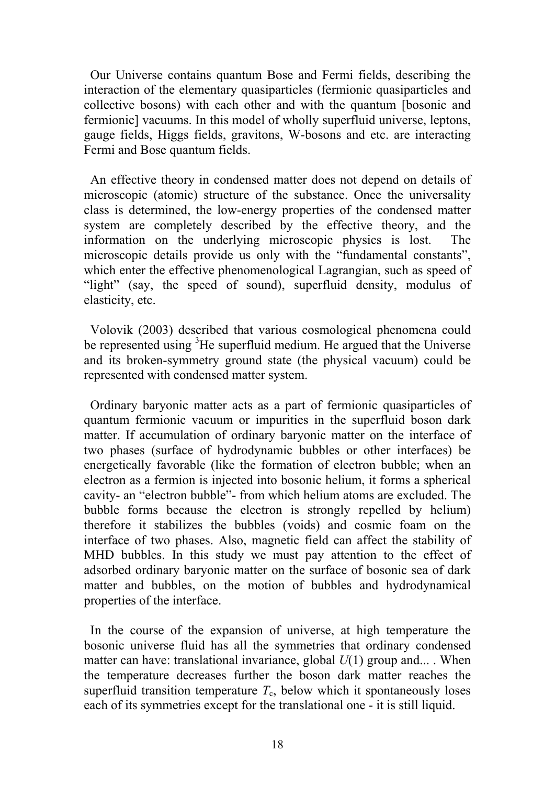Our Universe contains quantum Bose and Fermi fields, describing the interaction of the elementary quasiparticles (fermionic quasiparticles and collective bosons) with each other and with the quantum [bosonic and fermionic] vacuums. In this model of wholly superfluid universe, leptons, gauge fields, Higgs fields, gravitons, W-bosons and etc. are interacting Fermi and Bose quantum fields.

 An effective theory in condensed matter does not depend on details of microscopic (atomic) structure of the substance. Once the universality class is determined, the low-energy properties of the condensed matter system are completely described by the effective theory, and the information on the underlying microscopic physics is lost. The microscopic details provide us only with the "fundamental constants", which enter the effective phenomenological Lagrangian, such as speed of "light" (say, the speed of sound), superfluid density, modulus of elasticity, etc.

 Volovik (2003) described that various cosmological phenomena could be represented using <sup>3</sup>He superfluid medium. He argued that the Universe and its broken-symmetry ground state (the physical vacuum) could be represented with condensed matter system.

 Ordinary baryonic matter acts as a part of fermionic quasiparticles of quantum fermionic vacuum or impurities in the superfluid boson dark matter. If accumulation of ordinary baryonic matter on the interface of two phases (surface of hydrodynamic bubbles or other interfaces) be energetically favorable (like the formation of electron bubble; when an electron as a fermion is injected into bosonic helium, it forms a spherical cavity- an "electron bubble"- from which helium atoms are excluded. The bubble forms because the electron is strongly repelled by helium) therefore it stabilizes the bubbles (voids) and cosmic foam on the interface of two phases. Also, magnetic field can affect the stability of MHD bubbles. In this study we must pay attention to the effect of adsorbed ordinary baryonic matter on the surface of bosonic sea of dark matter and bubbles, on the motion of bubbles and hydrodynamical properties of the interface.

 In the course of the expansion of universe, at high temperature the bosonic universe fluid has all the symmetries that ordinary condensed matter can have: translational invariance, global *U*(1) group and... . When the temperature decreases further the boson dark matter reaches the superfluid transition temperature  $T_c$ , below which it spontaneously loses each of its symmetries except for the translational one - it is still liquid.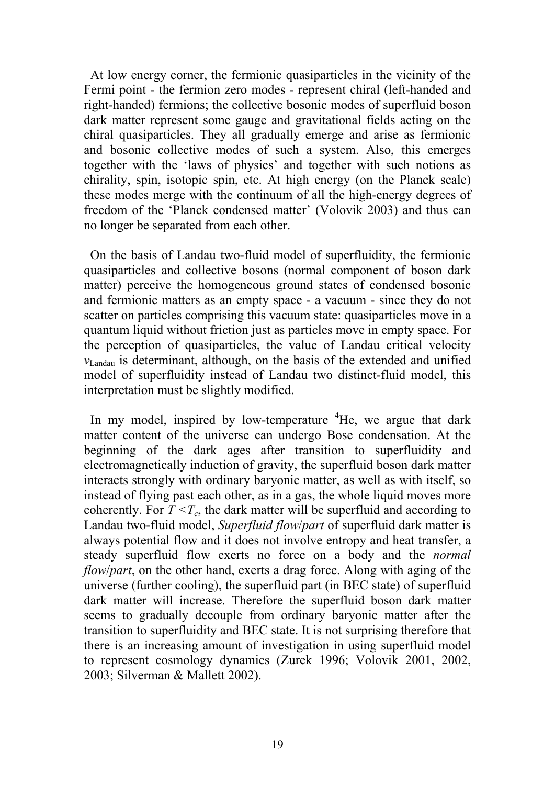At low energy corner, the fermionic quasiparticles in the vicinity of the Fermi point - the fermion zero modes - represent chiral (left-handed and right-handed) fermions; the collective bosonic modes of superfluid boson dark matter represent some gauge and gravitational fields acting on the chiral quasiparticles. They all gradually emerge and arise as fermionic and bosonic collective modes of such a system. Also, this emerges together with the 'laws of physics' and together with such notions as chirality, spin, isotopic spin, etc. At high energy (on the Planck scale) these modes merge with the continuum of all the high-energy degrees of freedom of the 'Planck condensed matter' (Volovik 2003) and thus can no longer be separated from each other.

 On the basis of Landau two-fluid model of superfluidity, the fermionic quasiparticles and collective bosons (normal component of boson dark matter) perceive the homogeneous ground states of condensed bosonic and fermionic matters as an empty space - a vacuum - since they do not scatter on particles comprising this vacuum state: quasiparticles move in a quantum liquid without friction just as particles move in empty space. For the perception of quasiparticles, the value of Landau critical velocity *v*Landau is determinant, although, on the basis of the extended and unified model of superfluidity instead of Landau two distinct-fluid model, this interpretation must be slightly modified.

In my model, inspired by low-temperature <sup>4</sup>He, we argue that dark matter content of the universe can undergo Bose condensation. At the beginning of the dark ages after transition to superfluidity and electromagnetically induction of gravity, the superfluid boson dark matter interacts strongly with ordinary baryonic matter, as well as with itself, so instead of flying past each other, as in a gas, the whole liquid moves more coherently. For  $T < T_c$ , the dark matter will be superfluid and according to Landau two-fluid model, *Superfluid flow*/*part* of superfluid dark matter is always potential flow and it does not involve entropy and heat transfer, a steady superfluid flow exerts no force on a body and the *normal flow*/*part*, on the other hand, exerts a drag force. Along with aging of the universe (further cooling), the superfluid part (in BEC state) of superfluid dark matter will increase. Therefore the superfluid boson dark matter seems to gradually decouple from ordinary baryonic matter after the transition to superfluidity and BEC state. It is not surprising therefore that there is an increasing amount of investigation in using superfluid model to represent cosmology dynamics (Zurek 1996; Volovik 2001, 2002, 2003; Silverman & Mallett 2002).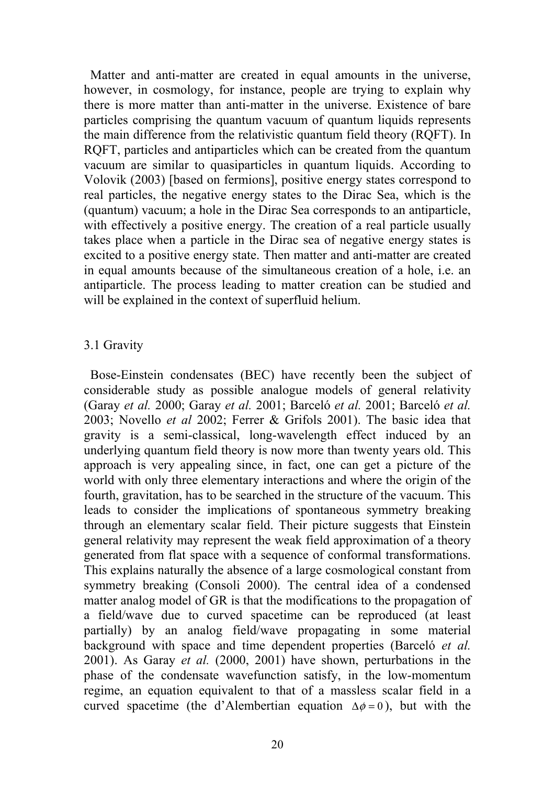Matter and anti-matter are created in equal amounts in the universe, however, in cosmology, for instance, people are trying to explain why there is more matter than anti-matter in the universe. Existence of bare particles comprising the quantum vacuum of quantum liquids represents the main difference from the relativistic quantum field theory (RQFT). In RQFT, particles and antiparticles which can be created from the quantum vacuum are similar to quasiparticles in quantum liquids. According to Volovik (2003) [based on fermions], positive energy states correspond to real particles, the negative energy states to the Dirac Sea, which is the (quantum) vacuum; a hole in the Dirac Sea corresponds to an antiparticle, with effectively a positive energy. The creation of a real particle usually takes place when a particle in the Dirac sea of negative energy states is excited to a positive energy state. Then matter and anti-matter are created in equal amounts because of the simultaneous creation of a hole, i.e. an antiparticle. The process leading to matter creation can be studied and will be explained in the context of superfluid helium.

## 3.1 Gravity

 Bose-Einstein condensates (BEC) have recently been the subject of considerable study as possible analogue models of general relativity (Garay *et al.* 2000; Garay *et al.* 2001; Barceló *et al.* 2001; Barceló *et al.* 2003; Novello *et al* 2002; Ferrer & Grifols 2001). The basic idea that gravity is a semi-classical, long-wavelength effect induced by an underlying quantum field theory is now more than twenty years old. This approach is very appealing since, in fact, one can get a picture of the world with only three elementary interactions and where the origin of the fourth, gravitation, has to be searched in the structure of the vacuum. This leads to consider the implications of spontaneous symmetry breaking through an elementary scalar field. Their picture suggests that Einstein general relativity may represent the weak field approximation of a theory generated from flat space with a sequence of conformal transformations. This explains naturally the absence of a large cosmological constant from symmetry breaking (Consoli 2000). The central idea of a condensed matter analog model of GR is that the modifications to the propagation of a field/wave due to curved spacetime can be reproduced (at least partially) by an analog field/wave propagating in some material background with space and time dependent properties (Barceló *et al.* 2001). As Garay *et al.* (2000, 2001) have shown, perturbations in the phase of the condensate wavefunction satisfy, in the low-momentum regime, an equation equivalent to that of a massless scalar field in a curved spacetime (the d'Alembertian equation  $\Delta \phi = 0$ ), but with the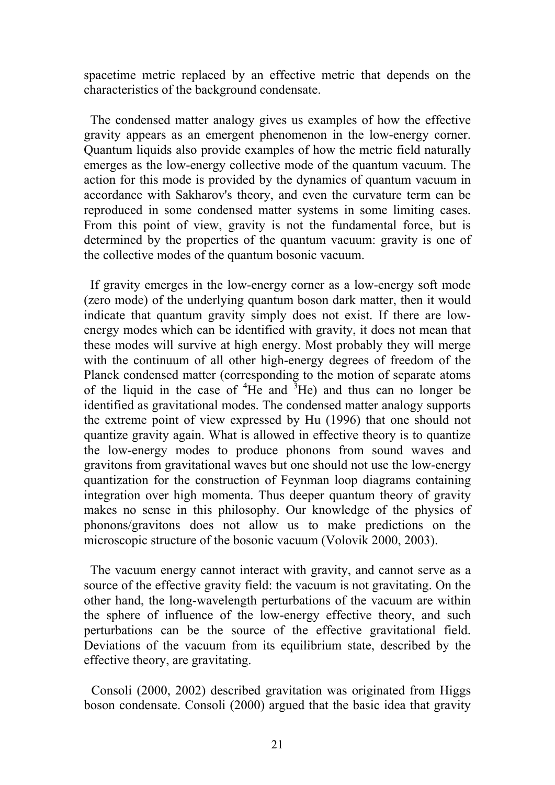spacetime metric replaced by an effective metric that depends on the characteristics of the background condensate.

 The condensed matter analogy gives us examples of how the effective gravity appears as an emergent phenomenon in the low-energy corner. Quantum liquids also provide examples of how the metric field naturally emerges as the low-energy collective mode of the quantum vacuum. The action for this mode is provided by the dynamics of quantum vacuum in accordance with Sakharov's theory, and even the curvature term can be reproduced in some condensed matter systems in some limiting cases. From this point of view, gravity is not the fundamental force, but is determined by the properties of the quantum vacuum: gravity is one of the collective modes of the quantum bosonic vacuum.

 If gravity emerges in the low-energy corner as a low-energy soft mode (zero mode) of the underlying quantum boson dark matter, then it would indicate that quantum gravity simply does not exist. If there are lowenergy modes which can be identified with gravity, it does not mean that these modes will survive at high energy. Most probably they will merge with the continuum of all other high-energy degrees of freedom of the Planck condensed matter (corresponding to the motion of separate atoms of the liquid in the case of  ${}^{4}$ He and  ${}^{3}$ He) and thus can no longer be identified as gravitational modes. The condensed matter analogy supports the extreme point of view expressed by Hu (1996) that one should not quantize gravity again. What is allowed in effective theory is to quantize the low-energy modes to produce phonons from sound waves and gravitons from gravitational waves but one should not use the low-energy quantization for the construction of Feynman loop diagrams containing integration over high momenta. Thus deeper quantum theory of gravity makes no sense in this philosophy. Our knowledge of the physics of phonons/gravitons does not allow us to make predictions on the microscopic structure of the bosonic vacuum (Volovik 2000, 2003).

 The vacuum energy cannot interact with gravity, and cannot serve as a source of the effective gravity field: the vacuum is not gravitating. On the other hand, the long-wavelength perturbations of the vacuum are within the sphere of influence of the low-energy effective theory, and such perturbations can be the source of the effective gravitational field. Deviations of the vacuum from its equilibrium state, described by the effective theory, are gravitating.

Consoli (2000, 2002) described gravitation was originated from Higgs boson condensate. Consoli (2000) argued that the basic idea that gravity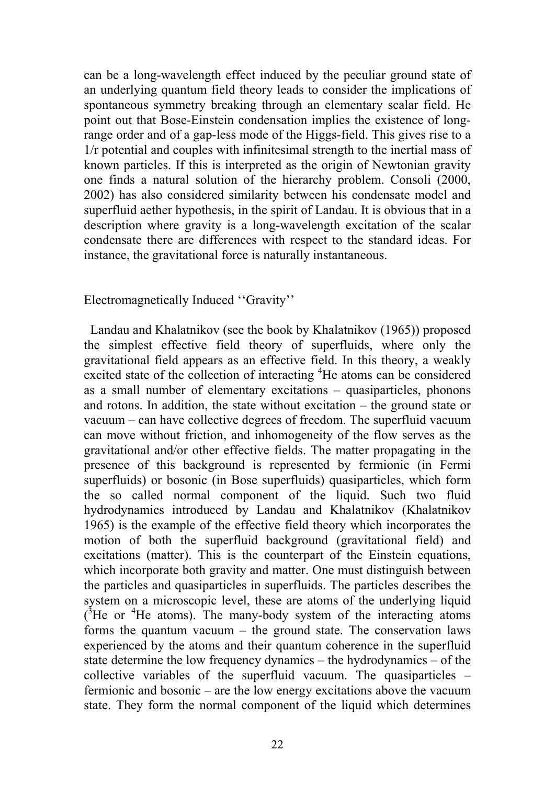can be a long-wavelength effect induced by the peculiar ground state of an underlying quantum field theory leads to consider the implications of spontaneous symmetry breaking through an elementary scalar field. He point out that Bose-Einstein condensation implies the existence of longrange order and of a gap-less mode of the Higgs-field. This gives rise to a 1/r potential and couples with infinitesimal strength to the inertial mass of known particles. If this is interpreted as the origin of Newtonian gravity one finds a natural solution of the hierarchy problem. Consoli (2000, 2002) has also considered similarity between his condensate model and superfluid aether hypothesis, in the spirit of Landau. It is obvious that in a description where gravity is a long-wavelength excitation of the scalar condensate there are differences with respect to the standard ideas. For instance, the gravitational force is naturally instantaneous.

Electromagnetically Induced ''Gravity''

 Landau and Khalatnikov (see the book by Khalatnikov (1965)) proposed the simplest effective field theory of superfluids, where only the gravitational field appears as an effective field. In this theory, a weakly excited state of the collection of interacting <sup>4</sup>He atoms can be considered as a small number of elementary excitations – quasiparticles, phonons and rotons. In addition, the state without excitation – the ground state or vacuum – can have collective degrees of freedom. The superfluid vacuum can move without friction, and inhomogeneity of the flow serves as the gravitational and/or other effective fields. The matter propagating in the presence of this background is represented by fermionic (in Fermi superfluids) or bosonic (in Bose superfluids) quasiparticles, which form the so called normal component of the liquid. Such two fluid hydrodynamics introduced by Landau and Khalatnikov (Khalatnikov 1965) is the example of the effective field theory which incorporates the motion of both the superfluid background (gravitational field) and excitations (matter). This is the counterpart of the Einstein equations, which incorporate both gravity and matter. One must distinguish between the particles and quasiparticles in superfluids. The particles describes the system on a microscopic level, these are atoms of the underlying liquid  $\mathrm{e}^3$ He or  $\mathrm{e}^4$ He atoms). The many-body system of the interacting atoms forms the quantum vacuum – the ground state. The conservation laws experienced by the atoms and their quantum coherence in the superfluid state determine the low frequency dynamics – the hydrodynamics – of the collective variables of the superfluid vacuum. The quasiparticles – fermionic and bosonic – are the low energy excitations above the vacuum state. They form the normal component of the liquid which determines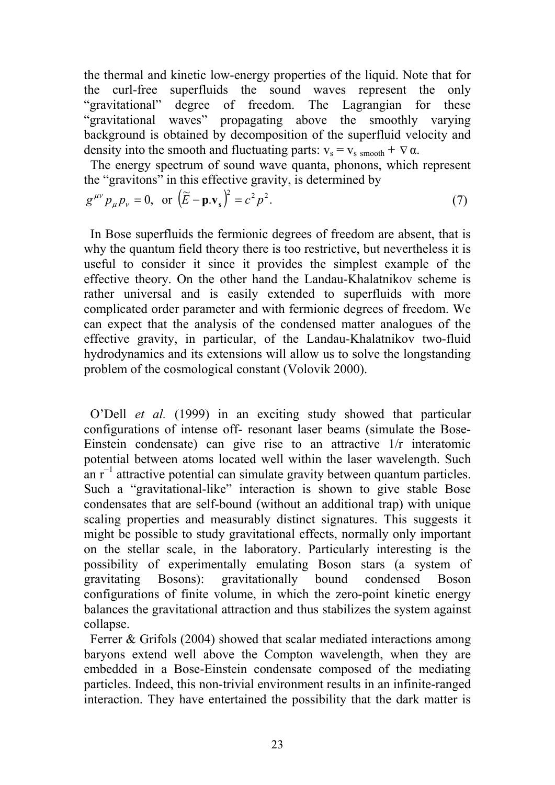the thermal and kinetic low-energy properties of the liquid. Note that for the curl-free superfluids the sound waves represent the only "gravitational" degree of freedom. The Lagrangian for these "gravitational waves" propagating above the smoothly varying background is obtained by decomposition of the superfluid velocity and density into the smooth and fluctuating parts:  $v_s = v_s$  smooth +  $\nabla \alpha$ .

 The energy spectrum of sound wave quanta, phonons, which represent the "gravitons" in this effective gravity, is determined by

$$
g^{\mu\nu}p_{\mu}p_{\nu} = 0
$$
, or  $(\tilde{E} - \mathbf{p}.\mathbf{v}_s)^2 = c^2 p^2$ . (7)

 In Bose superfluids the fermionic degrees of freedom are absent, that is why the quantum field theory there is too restrictive, but nevertheless it is useful to consider it since it provides the simplest example of the effective theory. On the other hand the Landau-Khalatnikov scheme is rather universal and is easily extended to superfluids with more complicated order parameter and with fermionic degrees of freedom. We can expect that the analysis of the condensed matter analogues of the effective gravity, in particular, of the Landau-Khalatnikov two-fluid hydrodynamics and its extensions will allow us to solve the longstanding problem of the cosmological constant (Volovik 2000).

 O'Dell *et al.* (1999) in an exciting study showed that particular configurations of intense off- resonant laser beams (simulate the Bose-Einstein condensate) can give rise to an attractive 1/r interatomic potential between atoms located well within the laser wavelength. Such an r<sup>-1</sup> attractive potential can simulate gravity between quantum particles. Such a "gravitational-like" interaction is shown to give stable Bose condensates that are self-bound (without an additional trap) with unique scaling properties and measurably distinct signatures. This suggests it might be possible to study gravitational effects, normally only important on the stellar scale, in the laboratory. Particularly interesting is the possibility of experimentally emulating Boson stars (a system of gravitating Bosons): gravitationally bound condensed Boson configurations of finite volume, in which the zero-point kinetic energy balances the gravitational attraction and thus stabilizes the system against collapse.

 Ferrer & Grifols (2004) showed that scalar mediated interactions among baryons extend well above the Compton wavelength, when they are embedded in a Bose-Einstein condensate composed of the mediating particles. Indeed, this non-trivial environment results in an infinite-ranged interaction. They have entertained the possibility that the dark matter is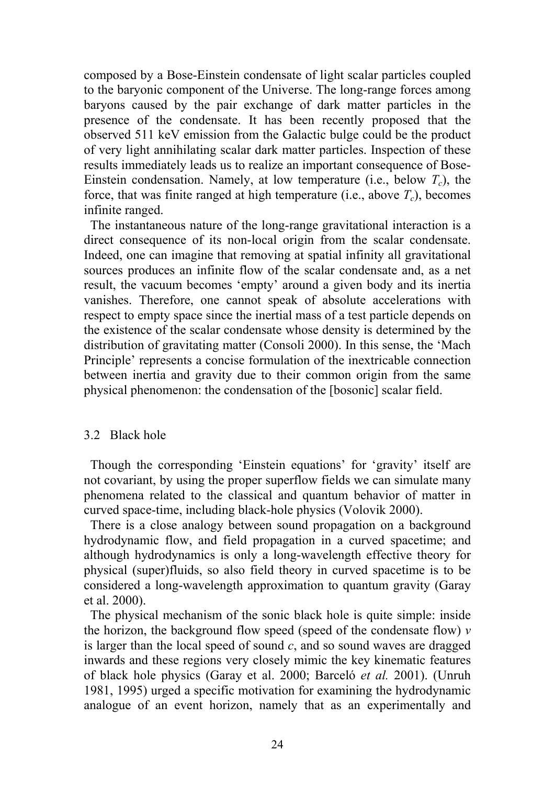composed by a Bose-Einstein condensate of light scalar particles coupled to the baryonic component of the Universe. The long-range forces among baryons caused by the pair exchange of dark matter particles in the presence of the condensate. It has been recently proposed that the observed 511 keV emission from the Galactic bulge could be the product of very light annihilating scalar dark matter particles. Inspection of these results immediately leads us to realize an important consequence of Bose-Einstein condensation. Namely, at low temperature (i.e., below  $T_c$ ), the force, that was finite ranged at high temperature (i.e., above  $T_c$ ), becomes infinite ranged.

 The instantaneous nature of the long-range gravitational interaction is a direct consequence of its non-local origin from the scalar condensate. Indeed, one can imagine that removing at spatial infinity all gravitational sources produces an infinite flow of the scalar condensate and, as a net result, the vacuum becomes 'empty' around a given body and its inertia vanishes. Therefore, one cannot speak of absolute accelerations with respect to empty space since the inertial mass of a test particle depends on the existence of the scalar condensate whose density is determined by the distribution of gravitating matter (Consoli 2000). In this sense, the 'Mach Principle' represents a concise formulation of the inextricable connection between inertia and gravity due to their common origin from the same physical phenomenon: the condensation of the [bosonic] scalar field.

#### 3.2 Black hole

 Though the corresponding 'Einstein equations' for 'gravity' itself are not covariant, by using the proper superflow fields we can simulate many phenomena related to the classical and quantum behavior of matter in curved space-time, including black-hole physics (Volovik 2000).

 There is a close analogy between sound propagation on a background hydrodynamic flow, and field propagation in a curved spacetime; and although hydrodynamics is only a long-wavelength effective theory for physical (super)fluids, so also field theory in curved spacetime is to be considered a long-wavelength approximation to quantum gravity (Garay et al. 2000).

 The physical mechanism of the sonic black hole is quite simple: inside the horizon, the background flow speed (speed of the condensate flow) *v* is larger than the local speed of sound *c*, and so sound waves are dragged inwards and these regions very closely mimic the key kinematic features of black hole physics (Garay et al. 2000; Barceló *et al.* 2001). (Unruh 1981, 1995) urged a specific motivation for examining the hydrodynamic analogue of an event horizon, namely that as an experimentally and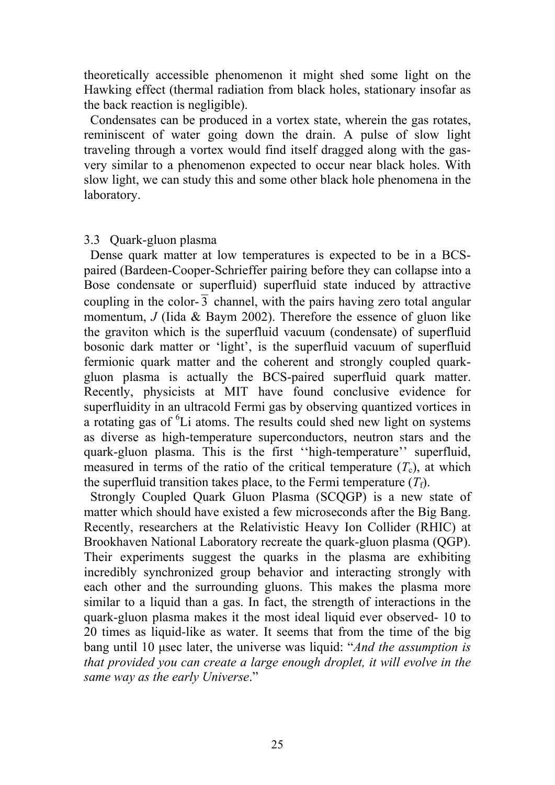theoretically accessible phenomenon it might shed some light on the Hawking effect (thermal radiation from black holes, stationary insofar as the back reaction is negligible).

 Condensates can be produced in a vortex state, wherein the gas rotates, reminiscent of water going down the drain. A pulse of slow light traveling through a vortex would find itself dragged along with the gasvery similar to a phenomenon expected to occur near black holes. With slow light, we can study this and some other black hole phenomena in the laboratory.

### 3.3 Quark-gluon plasma

 Dense quark matter at low temperatures is expected to be in a BCSpaired (Bardeen-Cooper-Schrieffer pairing before they can collapse into a Bose condensate or superfluid) superfluid state induced by attractive coupling in the color- $\overline{3}$  channel, with the pairs having zero total angular momentum, *J* (Iida & Baym 2002). Therefore the essence of gluon like the graviton which is the superfluid vacuum (condensate) of superfluid bosonic dark matter or 'light', is the superfluid vacuum of superfluid fermionic quark matter and the coherent and strongly coupled quarkgluon plasma is actually the BCS-paired superfluid quark matter. Recently, physicists at MIT have found conclusive evidence for superfluidity in an ultracold Fermi gas by observing quantized vortices in a rotating gas of <sup>6</sup>Li atoms. The results could shed new light on systems as diverse as high-temperature superconductors, neutron stars and the quark-gluon plasma. This is the first ''high-temperature'' superfluid, measured in terms of the ratio of the critical temperature  $(T_c)$ , at which the superfluid transition takes place, to the Fermi temperature  $(T_f)$ .

Strongly Coupled Ouark Gluon Plasma (SCOGP) is a new state of matter which should have existed a few microseconds after the Big Bang. Recently, researchers at the Relativistic Heavy Ion Collider (RHIC) at Brookhaven National Laboratory recreate the quark-gluon plasma (QGP). Their experiments suggest the quarks in the plasma are exhibiting incredibly synchronized group behavior and interacting strongly with each other and the surrounding gluons. This makes the plasma more similar to a liquid than a gas. In fact, the strength of interactions in the quark-gluon plasma makes it the most ideal liquid ever observed- 10 to 20 times as liquid-like as water. It seems that from the time of the big bang until 10 μsec later, the universe was liquid: "*And the assumption is that provided you can create a large enough droplet, it will evolve in the same way as the early Universe*."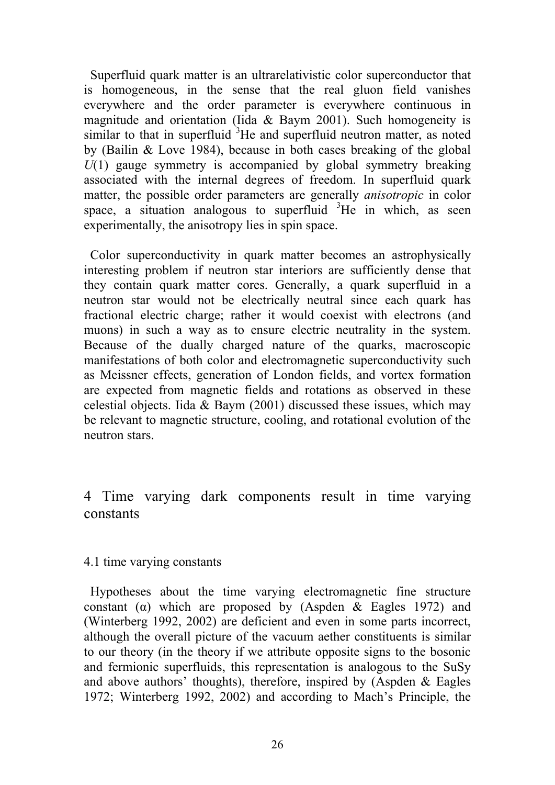Superfluid quark matter is an ultrarelativistic color superconductor that is homogeneous, in the sense that the real gluon field vanishes everywhere and the order parameter is everywhere continuous in magnitude and orientation (Iida & Baym 2001). Such homogeneity is similar to that in superfluid <sup>3</sup>He and superfluid neutron matter, as noted by (Bailin & Love 1984), because in both cases breaking of the global *U*(1) gauge symmetry is accompanied by global symmetry breaking associated with the internal degrees of freedom. In superfluid quark matter, the possible order parameters are generally *anisotropic* in color space, a situation analogous to superfluid  ${}^{3}$ He in which, as seen experimentally, the anisotropy lies in spin space.

 Color superconductivity in quark matter becomes an astrophysically interesting problem if neutron star interiors are sufficiently dense that they contain quark matter cores. Generally, a quark superfluid in a neutron star would not be electrically neutral since each quark has fractional electric charge; rather it would coexist with electrons (and muons) in such a way as to ensure electric neutrality in the system. Because of the dually charged nature of the quarks, macroscopic manifestations of both color and electromagnetic superconductivity such as Meissner effects, generation of London fields, and vortex formation are expected from magnetic fields and rotations as observed in these celestial objects. Iida & Baym (2001) discussed these issues, which may be relevant to magnetic structure, cooling, and rotational evolution of the neutron stars.

4 Time varying dark components result in time varying constants

## 4.1 time varying constants

 Hypotheses about the time varying electromagnetic fine structure constant ( $\alpha$ ) which are proposed by (Aspden & Eagles 1972) and (Winterberg 1992, 2002) are deficient and even in some parts incorrect, although the overall picture of the vacuum aether constituents is similar to our theory (in the theory if we attribute opposite signs to the bosonic and fermionic superfluids, this representation is analogous to the SuSy and above authors' thoughts), therefore, inspired by (Aspden  $&$  Eagles 1972; Winterberg 1992, 2002) and according to Mach's Principle, the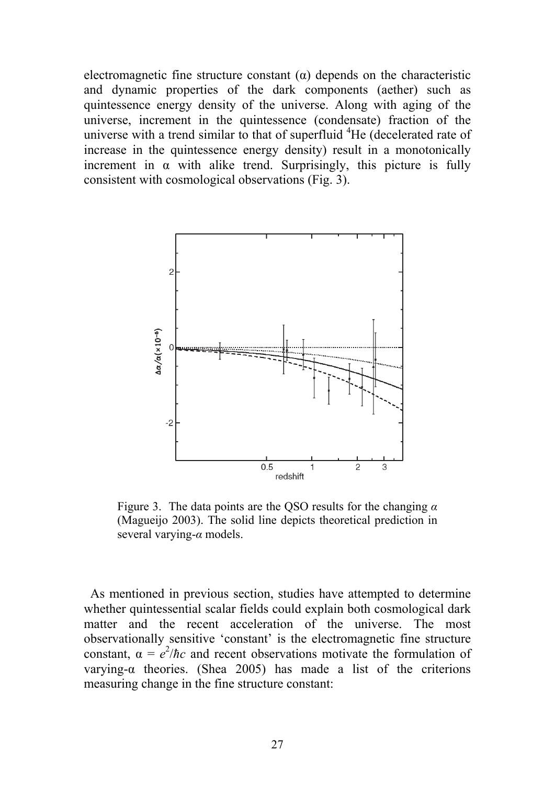electromagnetic fine structure constant  $(\alpha)$  depends on the characteristic and dynamic properties of the dark components (aether) such as quintessence energy density of the universe. Along with aging of the universe, increment in the quintessence (condensate) fraction of the universe with a trend similar to that of superfluid  ${}^{4}$ He (decelerated rate of increase in the quintessence energy density) result in a monotonically increment in  $\alpha$  with alike trend. Surprisingly, this picture is fully consistent with cosmological observations (Fig. 3).



Figure 3. The data points are the QSO results for the changing *α* (Magueijo 2003). The solid line depicts theoretical prediction in several varying-*α* models.

 As mentioned in previous section, studies have attempted to determine whether quintessential scalar fields could explain both cosmological dark matter and the recent acceleration of the universe. The most observationally sensitive 'constant' is the electromagnetic fine structure constant,  $\alpha = e^2/\hbar c$  and recent observations motivate the formulation of varying-α theories. (Shea 2005) has made a list of the criterions measuring change in the fine structure constant: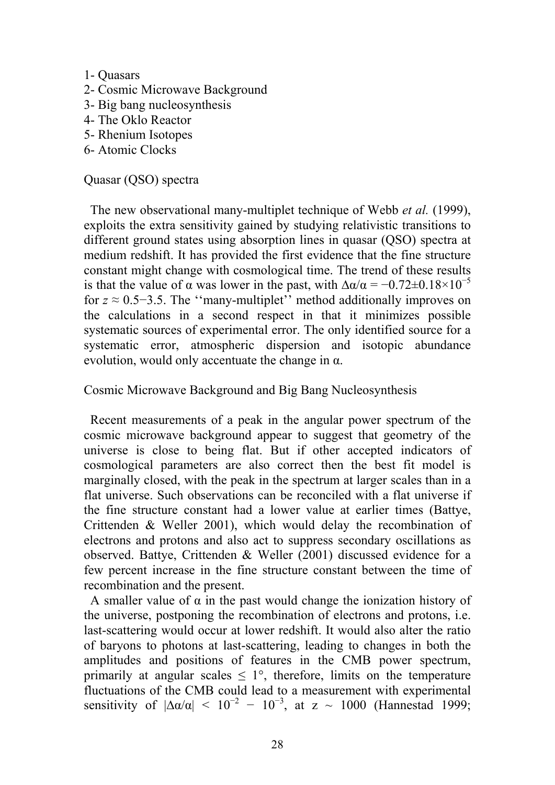- 1- Quasars
- 2- Cosmic Microwave Background
- 3- Big bang nucleosynthesis
- 4- The Oklo Reactor
- 5- Rhenium Isotopes
- 6- Atomic Clocks

## Quasar (QSO) spectra

 The new observational many-multiplet technique of Webb *et al.* (1999), exploits the extra sensitivity gained by studying relativistic transitions to different ground states using absorption lines in quasar (QSO) spectra at medium redshift. It has provided the first evidence that the fine structure constant might change with cosmological time. The trend of these results is that the value of  $\alpha$  was lower in the past, with  $\Delta \alpha / \alpha = -0.72 \pm 0.18 \times 10^{-5}$ for  $z \approx 0.5-3.5$ . The "many-multiplet" method additionally improves on the calculations in a second respect in that it minimizes possible systematic sources of experimental error. The only identified source for a systematic error, atmospheric dispersion and isotopic abundance evolution, would only accentuate the change in  $\alpha$ .

Cosmic Microwave Background and Big Bang Nucleosynthesis

 Recent measurements of a peak in the angular power spectrum of the cosmic microwave background appear to suggest that geometry of the universe is close to being flat. But if other accepted indicators of cosmological parameters are also correct then the best fit model is marginally closed, with the peak in the spectrum at larger scales than in a flat universe. Such observations can be reconciled with a flat universe if the fine structure constant had a lower value at earlier times (Battye, Crittenden & Weller 2001), which would delay the recombination of electrons and protons and also act to suppress secondary oscillations as observed. Battye, Crittenden & Weller (2001) discussed evidence for a few percent increase in the fine structure constant between the time of recombination and the present.

A smaller value of  $\alpha$  in the past would change the ionization history of the universe, postponing the recombination of electrons and protons, i.e. last-scattering would occur at lower redshift. It would also alter the ratio of baryons to photons at last-scattering, leading to changes in both the amplitudes and positions of features in the CMB power spectrum, primarily at angular scales  $\leq 1^{\circ}$ , therefore, limits on the temperature fluctuations of the CMB could lead to a measurement with experimental sensitivity of  $|\Delta\alpha/\alpha| < 10^{-2} - 10^{-3}$ , at z ~ 1000 (Hannestad 1999;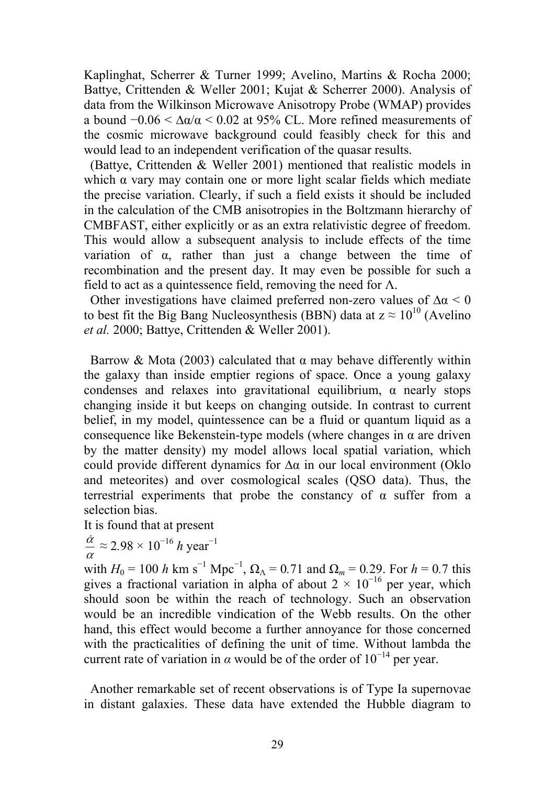Kaplinghat, Scherrer & Turner 1999; Avelino, Martins & Rocha 2000; Battye, Crittenden & Weller 2001; Kujat & Scherrer 2000). Analysis of data from the Wilkinson Microwave Anisotropy Probe (WMAP) provides a bound  $-0.06 < \Delta \alpha/\alpha < 0.02$  at 95% CL. More refined measurements of the cosmic microwave background could feasibly check for this and would lead to an independent verification of the quasar results.

 (Battye, Crittenden & Weller 2001) mentioned that realistic models in which α vary may contain one or more light scalar fields which mediate the precise variation. Clearly, if such a field exists it should be included in the calculation of the CMB anisotropies in the Boltzmann hierarchy of CMBFAST, either explicitly or as an extra relativistic degree of freedom. This would allow a subsequent analysis to include effects of the time variation of  $\alpha$ , rather than just a change between the time of recombination and the present day. It may even be possible for such a field to act as a quintessence field, removing the need for  $\Lambda$ .

Other investigations have claimed preferred non-zero values of  $\Delta \alpha$  < 0 to best fit the Big Bang Nucleosynthesis (BBN) data at  $z \approx 10^{10}$  (Avelino *et al.* 2000; Battye, Crittenden & Weller 2001).

Barrow & Mota (2003) calculated that  $\alpha$  may behave differently within the galaxy than inside emptier regions of space. Once a young galaxy condenses and relaxes into gravitational equilibrium, α nearly stops changing inside it but keeps on changing outside. In contrast to current belief, in my model, quintessence can be a fluid or quantum liquid as a consequence like Bekenstein-type models (where changes in  $\alpha$  are driven by the matter density) my model allows local spatial variation, which could provide different dynamics for ∆α in our local environment (Oklo and meteorites) and over cosmological scales (QSO data). Thus, the terrestrial experiments that probe the constancy of  $\alpha$  suffer from a selection bias.

It is found that at present

 $\frac{\dot{\alpha}}{\alpha} \approx 2.98 \times 10^{-16} h \text{ year}^{-1}$ 

with *H*<sub>0</sub> = 100 *h* km s<sup>-1</sup> Mpc<sup>-1</sup>, Ω<sub>Λ</sub> = 0.71 and Ω<sub>*m*</sub> = 0.29. For *h* = 0.7 this gives a fractional variation in alpha of about  $2 \times 10^{-16}$  per year, which should soon be within the reach of technology. Such an observation would be an incredible vindication of the Webb results. On the other hand, this effect would become a further annoyance for those concerned with the practicalities of defining the unit of time. Without lambda the current rate of variation in  $\alpha$  would be of the order of 10<sup>-14</sup> per year.

 Another remarkable set of recent observations is of Type Ia supernovae in distant galaxies. These data have extended the Hubble diagram to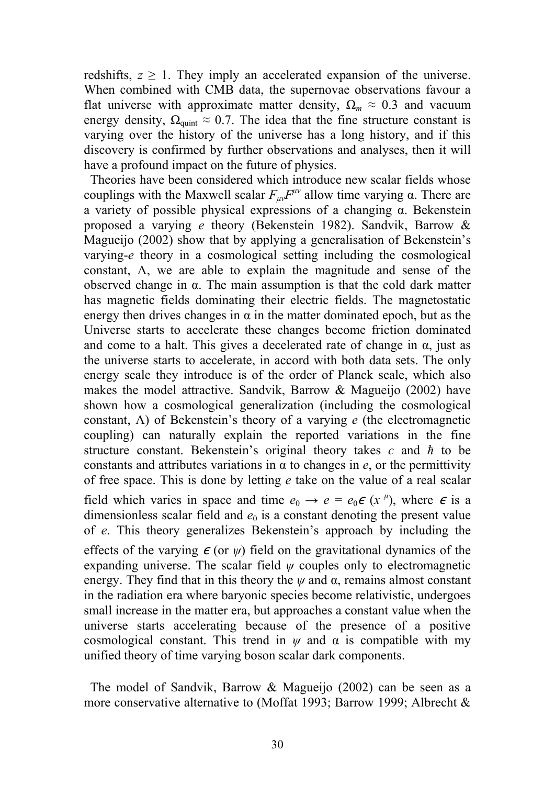redshifts,  $z \geq 1$ . They imply an accelerated expansion of the universe. When combined with CMB data, the supernovae observations favour a flat universe with approximate matter density,  $\Omega_m \approx 0.3$  and vacuum energy density,  $\Omega_{\text{quint}} \approx 0.7$ . The idea that the fine structure constant is varying over the history of the universe has a long history, and if this discovery is confirmed by further observations and analyses, then it will have a profound impact on the future of physics.

 Theories have been considered which introduce new scalar fields whose couplings with the Maxwell scalar  $F_{\mu\nu}F^{\mu\nu}$  allow time varying  $\alpha$ . There are a variety of possible physical expressions of a changing α. Bekenstein proposed a varying *e* theory (Bekenstein 1982). Sandvik, Barrow & Magueijo (2002) show that by applying a generalisation of Bekenstein's varying-*e* theory in a cosmological setting including the cosmological constant, Λ, we are able to explain the magnitude and sense of the observed change in α. The main assumption is that the cold dark matter has magnetic fields dominating their electric fields. The magnetostatic energy then drives changes in  $\alpha$  in the matter dominated epoch, but as the Universe starts to accelerate these changes become friction dominated and come to a halt. This gives a decelerated rate of change in  $\alpha$ , just as the universe starts to accelerate, in accord with both data sets. The only energy scale they introduce is of the order of Planck scale, which also makes the model attractive. Sandvik, Barrow & Magueijo (2002) have shown how a cosmological generalization (including the cosmological constant, Λ) of Bekenstein's theory of a varying *e* (the electromagnetic coupling) can naturally explain the reported variations in the fine structure constant. Bekenstein's original theory takes *c* and *ħ* to be constants and attributes variations in α to changes in *e*, or the permittivity of free space. This is done by letting *e* take on the value of a real scalar field which varies in space and time  $e_0 \rightarrow e = e_0 \epsilon (x^{\mu})$ , where  $\epsilon$  is a dimensionless scalar field and  $e_0$  is a constant denoting the present value of *e*. This theory generalizes Bekenstein's approach by including the effects of the varying  $\epsilon$  (or  $\psi$ ) field on the gravitational dynamics of the expanding universe. The scalar field *ψ* couples only to electromagnetic energy. They find that in this theory the  $\psi$  and  $\alpha$ , remains almost constant in the radiation era where baryonic species become relativistic, undergoes small increase in the matter era, but approaches a constant value when the universe starts accelerating because of the presence of a positive

 The model of Sandvik, Barrow & Magueijo (2002) can be seen as a more conservative alternative to (Moffat 1993; Barrow 1999; Albrecht &

cosmological constant. This trend in  $\psi$  and  $\alpha$  is compatible with my

unified theory of time varying boson scalar dark components.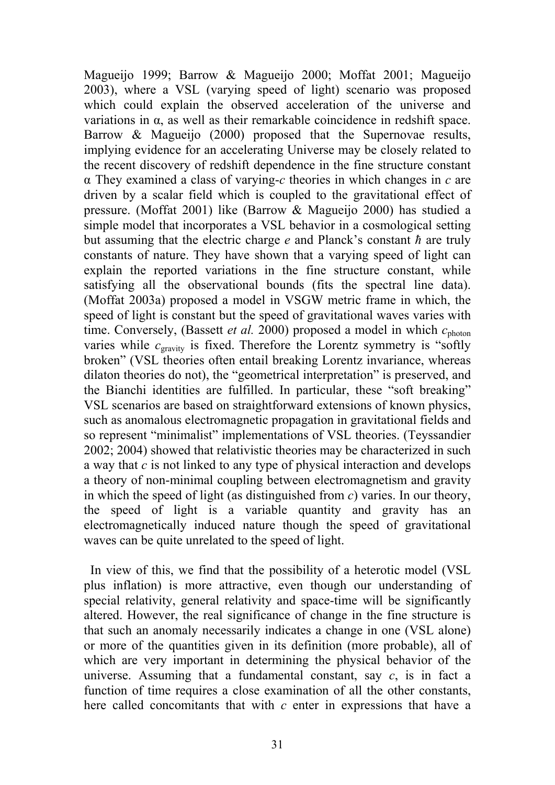Magueijo 1999; Barrow & Magueijo 2000; Moffat 2001; Magueijo 2003), where a VSL (varying speed of light) scenario was proposed which could explain the observed acceleration of the universe and variations in  $\alpha$ , as well as their remarkable coincidence in redshift space. Barrow & Magueijo (2000) proposed that the Supernovae results, implying evidence for an accelerating Universe may be closely related to the recent discovery of redshift dependence in the fine structure constant α They examined a class of varying-*c* theories in which changes in *c* are driven by a scalar field which is coupled to the gravitational effect of pressure. (Moffat 2001) like (Barrow & Magueijo 2000) has studied a simple model that incorporates a VSL behavior in a cosmological setting but assuming that the electric charge *e* and Planck's constant *ħ* are truly constants of nature. They have shown that a varying speed of light can explain the reported variations in the fine structure constant, while satisfying all the observational bounds (fits the spectral line data). (Moffat 2003a) proposed a model in VSGW metric frame in which, the speed of light is constant but the speed of gravitational waves varies with time. Conversely, (Bassett *et al.* 2000) proposed a model in which  $c_{\text{photon}}$ varies while  $c_{\text{gravity}}$  is fixed. Therefore the Lorentz symmetry is "softly broken" (VSL theories often entail breaking Lorentz invariance, whereas dilaton theories do not), the "geometrical interpretation" is preserved, and the Bianchi identities are fulfilled. In particular, these "soft breaking" VSL scenarios are based on straightforward extensions of known physics, such as anomalous electromagnetic propagation in gravitational fields and so represent "minimalist" implementations of VSL theories. (Teyssandier 2002; 2004) showed that relativistic theories may be characterized in such a way that *c* is not linked to any type of physical interaction and develops a theory of non-minimal coupling between electromagnetism and gravity in which the speed of light (as distinguished from *c*) varies. In our theory, the speed of light is a variable quantity and gravity has an electromagnetically induced nature though the speed of gravitational waves can be quite unrelated to the speed of light.

 In view of this, we find that the possibility of a heterotic model (VSL plus inflation) is more attractive, even though our understanding of special relativity, general relativity and space-time will be significantly altered. However, the real significance of change in the fine structure is that such an anomaly necessarily indicates a change in one (VSL alone) or more of the quantities given in its definition (more probable), all of which are very important in determining the physical behavior of the universe. Assuming that a fundamental constant, say *c*, is in fact a function of time requires a close examination of all the other constants, here called concomitants that with *c* enter in expressions that have a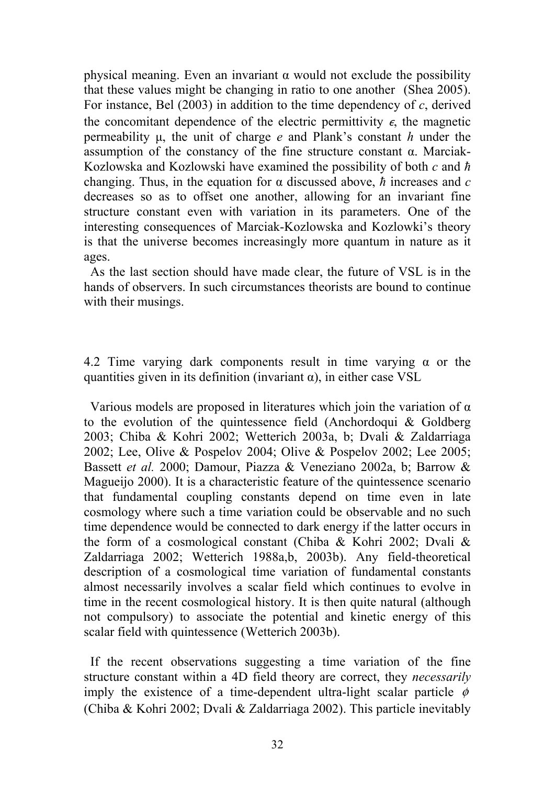physical meaning. Even an invariant  $\alpha$  would not exclude the possibility that these values might be changing in ratio to one another (Shea 2005). For instance, Bel (2003) in addition to the time dependency of *c*, derived the concomitant dependence of the electric permittivity  $\epsilon$ , the magnetic permeability μ, the unit of charge *e* and Plank's constant *h* under the assumption of the constancy of the fine structure constant α. Marciak-Kozlowska and Kozlowski have examined the possibility of both *c* and *ħ* changing. Thus, in the equation for α discussed above, *ħ* increases and *c* decreases so as to offset one another, allowing for an invariant fine structure constant even with variation in its parameters. One of the interesting consequences of Marciak-Kozlowska and Kozlowki's theory is that the universe becomes increasingly more quantum in nature as it ages.

 As the last section should have made clear, the future of VSL is in the hands of observers. In such circumstances theorists are bound to continue with their musings.

4.2 Time varying dark components result in time varying  $\alpha$  or the quantities given in its definition (invariant  $\alpha$ ), in either case VSL

Various models are proposed in literatures which join the variation of  $\alpha$ to the evolution of the quintessence field (Anchordoqui & Goldberg 2003; Chiba & Kohri 2002; Wetterich 2003a, b; Dvali & Zaldarriaga 2002; Lee, Olive & Pospelov 2004; Olive & Pospelov 2002; Lee 2005; Bassett *et al.* 2000; Damour, Piazza & Veneziano 2002a, b; Barrow & Magueijo 2000). It is a characteristic feature of the quintessence scenario that fundamental coupling constants depend on time even in late cosmology where such a time variation could be observable and no such time dependence would be connected to dark energy if the latter occurs in the form of a cosmological constant (Chiba & Kohri 2002; Dvali & Zaldarriaga 2002; Wetterich 1988a,b, 2003b). Any field-theoretical description of a cosmological time variation of fundamental constants almost necessarily involves a scalar field which continues to evolve in time in the recent cosmological history. It is then quite natural (although not compulsory) to associate the potential and kinetic energy of this scalar field with quintessence (Wetterich 2003b).

 If the recent observations suggesting a time variation of the fine structure constant within a 4D field theory are correct, they *necessarily* imply the existence of a time-dependent ultra-light scalar particle  $\phi$ (Chiba & Kohri 2002; Dvali & Zaldarriaga 2002). This particle inevitably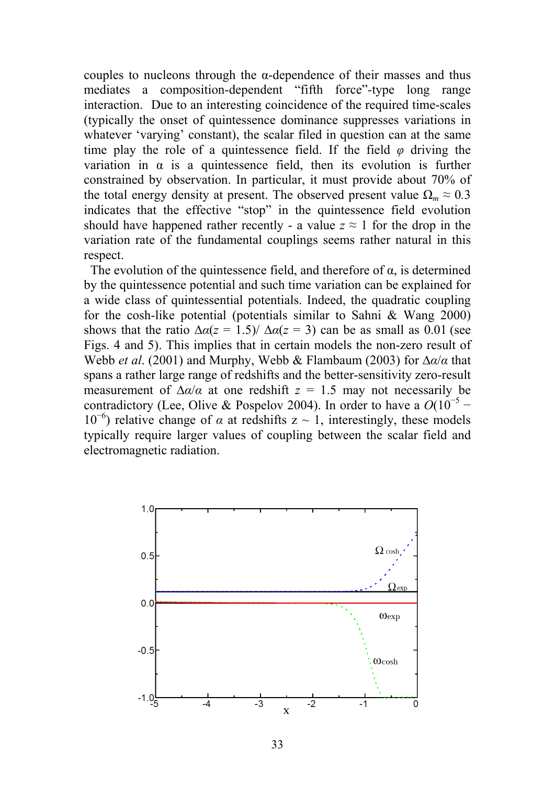couples to nucleons through the  $\alpha$ -dependence of their masses and thus mediates a composition-dependent "fifth force"-type long range interaction. Due to an interesting coincidence of the required time-scales (typically the onset of quintessence dominance suppresses variations in whatever 'varying' constant), the scalar filed in question can at the same time play the role of a quintessence field. If the field  $\varphi$  driving the variation in  $\alpha$  is a quintessence field, then its evolution is further constrained by observation. In particular, it must provide about 70% of the total energy density at present. The observed present value  $\Omega_m \approx 0.3$ indicates that the effective "stop" in the quintessence field evolution should have happened rather recently - a value  $z \approx 1$  for the drop in the variation rate of the fundamental couplings seems rather natural in this respect.

The evolution of the quintessence field, and therefore of  $\alpha$ , is determined by the quintessence potential and such time variation can be explained for a wide class of quintessential potentials. Indeed, the quadratic coupling for the cosh-like potential (potentials similar to Sahni & Wang 2000) shows that the ratio  $\Delta \alpha(z = 1.5) / \Delta \alpha(z = 3)$  can be as small as 0.01 (see Figs. 4 and 5). This implies that in certain models the non-zero result of Webb *et al*. (2001) and Murphy, Webb & Flambaum (2003) for ∆*α*/*α* that spans a rather large range of redshifts and the better-sensitivity zero-result measurement of  $\Delta \alpha / \alpha$  at one redshift *z* = 1.5 may not necessarily be contradictory (Lee, Olive & Pospelov 2004). In order to have a  $O(10^{-5}$  – 10<sup>-6</sup>) relative change of *α* at redshifts z ~ 1, interestingly, these models typically require larger values of coupling between the scalar field and electromagnetic radiation.

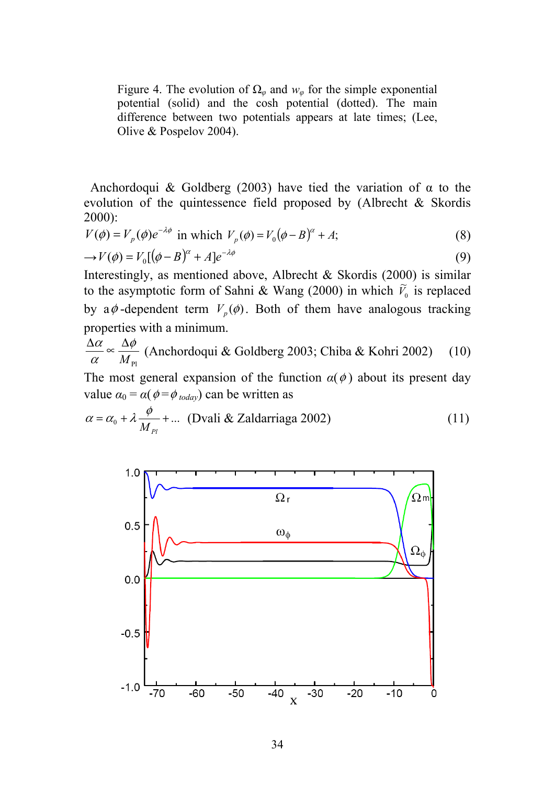Figure 4. The evolution of  $\Omega_{\varphi}$  and  $w_{\varphi}$  for the simple exponential potential (solid) and the cosh potential (dotted). The main difference between two potentials appears at late times; (Lee, Olive & Pospelov 2004).

Anchordoqui & Goldberg (2003) have tied the variation of  $\alpha$  to the evolution of the quintessence field proposed by (Albrecht & Skordis 2000):

$$
V(\phi) = V_p(\phi)e^{-\lambda\phi}
$$
 in which  $V_p(\phi) = V_0(\phi - B)^{\alpha} + A$ ;\t\t(8)

$$
\rightarrow V(\phi) = V_0[(\phi - B)^{\alpha} + A]e^{-\lambda \phi} \tag{9}
$$

Interestingly, as mentioned above, Albrecht & Skordis (2000) is similar to the asymptotic form of Sahni & Wang (2000) in which  $\tilde{V}_0$  is replaced by  $a\phi$ -dependent term  $V_p(\phi)$ . Both of them have analogous tracking properties with a minimum.

$$
\frac{\Delta \alpha}{\alpha} \propto \frac{\Delta \phi}{M_{\text{Pl}}}
$$
 (Anchordoqui & Goldberg 2003; Chiba & Kohri 2002) (10)

The most general expansion of the function  $\alpha(\phi)$  about its present day value  $\alpha_0 = \alpha(\phi = \phi_{today})$  can be written as

$$
\alpha = \alpha_0 + \lambda \frac{\phi}{M_{Pl}} + \dots \text{ (Dvali & Zaldarriaga 2002)}
$$
 (11)

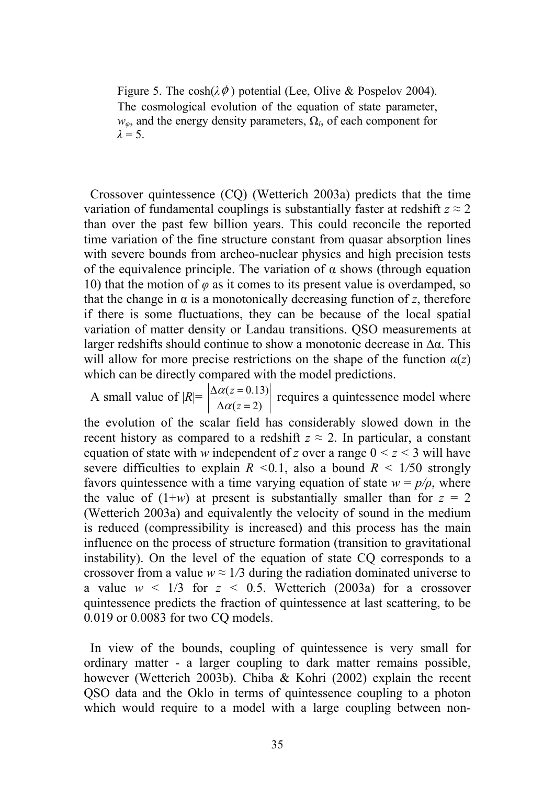Figure 5. The cosh( $\lambda \phi$ ) potential (Lee, Olive & Pospelov 2004). The cosmological evolution of the equation of state parameter, *wφ*, and the energy density parameters, Ω*i*, of each component for  $\lambda = 5$ .

 Crossover quintessence (CQ) (Wetterich 2003a) predicts that the time variation of fundamental couplings is substantially faster at redshift  $z \approx 2$ than over the past few billion years. This could reconcile the reported time variation of the fine structure constant from quasar absorption lines with severe bounds from archeo-nuclear physics and high precision tests of the equivalence principle. The variation of  $\alpha$  shows (through equation 10) that the motion of *φ* as it comes to its present value is overdamped, so that the change in  $\alpha$  is a monotonically decreasing function of *z*, therefore if there is some fluctuations, they can be because of the local spatial variation of matter density or Landau transitions. QSO measurements at larger redshifts should continue to show a monotonic decrease in ∆α. This will allow for more precise restrictions on the shape of the function  $a(z)$ which can be directly compared with the model predictions.

A small value of  $|R| = \left| \frac{\Delta \alpha(z=0.13)}{\Delta \alpha(z=2)} \right|$  $\Delta \alpha(z=$  $\Delta \alpha(z=$ *z z*  $\frac{\alpha(z=0.13)}{\Delta \alpha(z=2)}$  requires a quintessence model where

the evolution of the scalar field has considerably slowed down in the recent history as compared to a redshift  $z \approx 2$ . In particular, a constant equation of state with *w* independent of *z* over a range  $0 \le z \le 3$  will have severe difficulties to explain  $R \leq 0.1$ , also a bound  $R \leq 1/50$  strongly favors quintessence with a time varying equation of state  $w = p/\rho$ , where the value of  $(1+w)$  at present is substantially smaller than for  $z = 2$ (Wetterich 2003a) and equivalently the velocity of sound in the medium is reduced (compressibility is increased) and this process has the main influence on the process of structure formation (transition to gravitational instability). On the level of the equation of state CQ corresponds to a crossover from a value  $w \approx 1/3$  during the radiation dominated universe to a value  $w < 1/3$  for  $z < 0.5$ . Wetterich (2003a) for a crossover quintessence predicts the fraction of quintessence at last scattering, to be 0*.*019 or 0*.*0083 for two CQ models.

 In view of the bounds, coupling of quintessence is very small for ordinary matter - a larger coupling to dark matter remains possible, however (Wetterich 2003b). Chiba & Kohri (2002) explain the recent QSO data and the Oklo in terms of quintessence coupling to a photon which would require to a model with a large coupling between non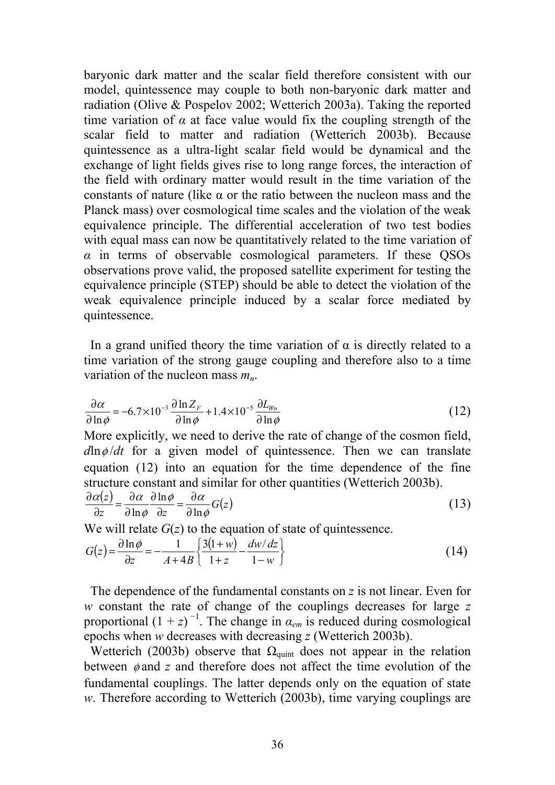baryonic dark matter and the scalar field therefore consistent with our model, quintessence may couple to both non-baryonic dark matter and radiation (Olive & Pospelov 2002; Wetterich 2003a). Taking the reported time variation of  $\alpha$  at face value would fix the coupling strength of the scalar field to matter and radiation (Wetterich 2003b). Because quintessence as a ultra-light scalar field would be dynamical and the exchange of light fields gives rise to long range forces, the interaction of the field with ordinary matter would result in the time variation of the constants of nature (like  $\alpha$  or the ratio between the nucleon mass and the Planck mass) over cosmological time scales and the violation of the weak equivalence principle. The differential acceleration of two test bodies with equal mass can now be quantitatively related to the time variation of *α* in terms of observable cosmological parameters. If these QSOs observations prove valid, the proposed satellite experiment for testing the equivalence principle (STEP) should be able to detect the violation of the weak equivalence principle induced by a scalar force mediated by quintessence.

In a grand unified theory the time variation of  $\alpha$  is directly related to a time variation of the strong gauge coupling and therefore also to a time variation of the nucleon mass  $m_n$ .

$$
\frac{\partial \alpha}{\partial \ln \phi} = -6.7 \times 10^{-3} \frac{\partial \ln Z_F}{\partial \ln \phi} + 1.4 \times 10^{-5} \frac{\partial L_{Wn}}{\partial \ln \phi}
$$
(12)

More explicitly, we need to derive the rate of change of the cosmon field,  $d \ln \phi / dt$  for a given model of quintessence. Then we can translate equation (12) into an equation for the time dependence of the fine structure constant and similar for other quantities (Wetterich 2003b).

$$
\frac{\partial \alpha(z)}{\partial z} = \frac{\partial \alpha}{\partial \ln \phi} \frac{\partial \ln \phi}{\partial z} = \frac{\partial \alpha}{\partial \ln \phi} G(z)
$$
(13)

We will relate *G*(*z*) to the equation of state of quintessence.

$$
G(z) = \frac{\partial \ln \phi}{\partial z} = -\frac{1}{A + 4B} \left\{ \frac{3(1+w)}{1+z} - \frac{dw/dz}{1-w} \right\}
$$
(14)

 The dependence of the fundamental constants on *z* is not linear. Even for *w* constant the rate of change of the couplings decreases for large *z* proportional  $(1 + z)^{-1}$ . The change in  $\alpha_{em}$  is reduced during cosmological epochs when *w* decreases with decreasing *z* (Wetterich 2003b).

Wetterich (2003b) observe that  $\Omega_{\text{quint}}$  does not appear in the relation between φ and *z* and therefore does not affect the time evolution of the fundamental couplings. The latter depends only on the equation of state *w*. Therefore according to Wetterich (2003b), time varying couplings are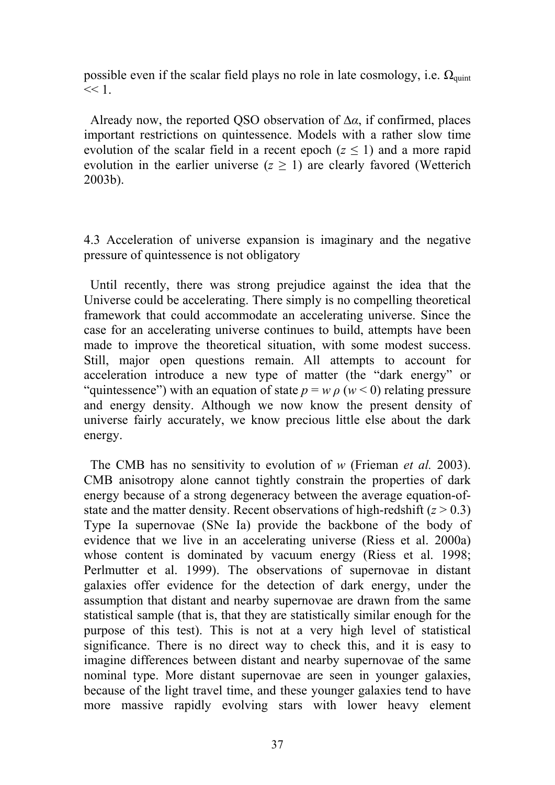possible even if the scalar field plays no role in late cosmology, i.e.  $\Omega_{\text{quint}}$  $<< 1$ .

 Already now, the reported QSO observation of ∆*α*, if confirmed, places important restrictions on quintessence. Models with a rather slow time evolution of the scalar field in a recent epoch ( $z \le 1$ ) and a more rapid evolution in the earlier universe  $(z \ge 1)$  are clearly favored (Wetterich 2003b).

4.3 Acceleration of universe expansion is imaginary and the negative pressure of quintessence is not obligatory

 Until recently, there was strong prejudice against the idea that the Universe could be accelerating. There simply is no compelling theoretical framework that could accommodate an accelerating universe. Since the case for an accelerating universe continues to build, attempts have been made to improve the theoretical situation, with some modest success. Still, major open questions remain. All attempts to account for acceleration introduce a new type of matter (the "dark energy" or "quintessence") with an equation of state  $p = w \rho$  ( $w < 0$ ) relating pressure and energy density. Although we now know the present density of universe fairly accurately, we know precious little else about the dark energy.

 The CMB has no sensitivity to evolution of *w* (Frieman *et al.* 2003). CMB anisotropy alone cannot tightly constrain the properties of dark energy because of a strong degeneracy between the average equation-ofstate and the matter density. Recent observations of high-redshift  $(z > 0.3)$ Type Ia supernovae (SNe Ia) provide the backbone of the body of evidence that we live in an accelerating universe (Riess et al. 2000a) whose content is dominated by vacuum energy (Riess et al. 1998; Perlmutter et al. 1999). The observations of supernovae in distant galaxies offer evidence for the detection of dark energy, under the assumption that distant and nearby supernovae are drawn from the same statistical sample (that is, that they are statistically similar enough for the purpose of this test). This is not at a very high level of statistical significance. There is no direct way to check this, and it is easy to imagine differences between distant and nearby supernovae of the same nominal type. More distant supernovae are seen in younger galaxies, because of the light travel time, and these younger galaxies tend to have more massive rapidly evolving stars with lower heavy element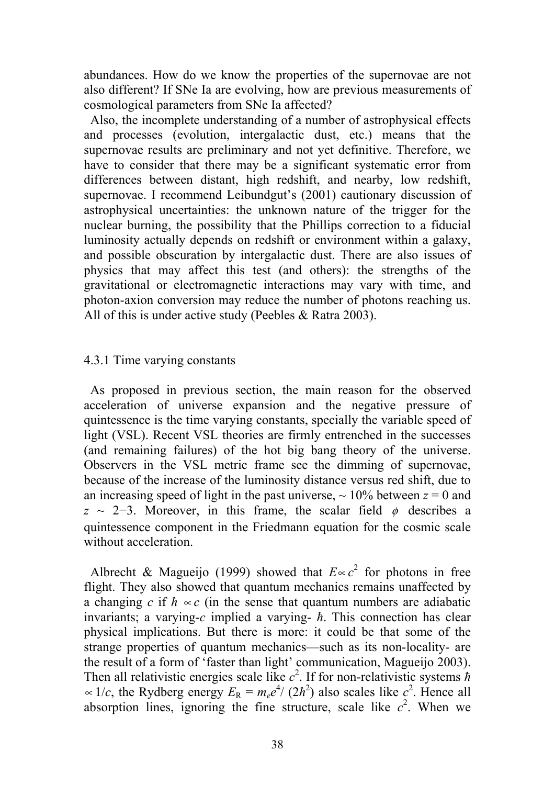abundances. How do we know the properties of the supernovae are not also different? If SNe Ia are evolving, how are previous measurements of cosmological parameters from SNe Ia affected?

 Also, the incomplete understanding of a number of astrophysical effects and processes (evolution, intergalactic dust, etc.) means that the supernovae results are preliminary and not yet definitive. Therefore, we have to consider that there may be a significant systematic error from differences between distant, high redshift, and nearby, low redshift, supernovae. I recommend Leibundgut's (2001) cautionary discussion of astrophysical uncertainties: the unknown nature of the trigger for the nuclear burning, the possibility that the Phillips correction to a fiducial luminosity actually depends on redshift or environment within a galaxy, and possible obscuration by intergalactic dust. There are also issues of physics that may affect this test (and others): the strengths of the gravitational or electromagnetic interactions may vary with time, and photon-axion conversion may reduce the number of photons reaching us. All of this is under active study (Peebles & Ratra 2003).

#### 4.3.1 Time varying constants

 As proposed in previous section, the main reason for the observed acceleration of universe expansion and the negative pressure of quintessence is the time varying constants, specially the variable speed of light (VSL). Recent VSL theories are firmly entrenched in the successes (and remaining failures) of the hot big bang theory of the universe. Observers in the VSL metric frame see the dimming of supernovae, because of the increase of the luminosity distance versus red shift, due to an increasing speed of light in the past universe,  $\sim 10\%$  between  $z = 0$  and  $z \sim 2-3$ . Moreover, in this frame, the scalar field  $\phi$  describes a quintessence component in the Friedmann equation for the cosmic scale without acceleration.

Albrecht & Magueijo (1999) showed that  $E \propto c^2$  for photons in free flight. They also showed that quantum mechanics remains unaffected by a changing *c* if  $\hbar \propto c$  (in the sense that quantum numbers are adiabatic invariants; a varying-*c* implied a varying- *ħ*. This connection has clear physical implications. But there is more: it could be that some of the strange properties of quantum mechanics—such as its non-locality- are the result of a form of 'faster than light' communication, Magueijo 2003). Then all relativistic energies scale like  $c^2$ . If for non-relativistic systems  $\hbar$  $\propto$  1/*c*, the Rydberg energy  $E_R = m_e e^{4}/(2\hbar^2)$  also scales like  $c^2$ . Hence all absorption lines, ignoring the fine structure, scale like  $c^2$ . When we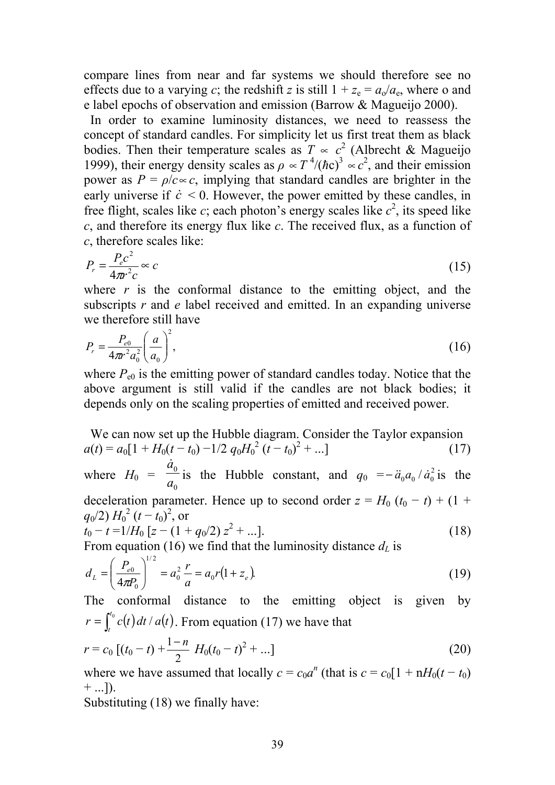compare lines from near and far systems we should therefore see no effects due to a varying *c*; the redshift *z* is still  $1 + z_e = a_o/a_e$ , where o and e label epochs of observation and emission (Barrow & Magueijo 2000).

 In order to examine luminosity distances, we need to reassess the concept of standard candles. For simplicity let us first treat them as black bodies. Then their temperature scales as  $T \propto c^2$  (Albrecht & Magueijo 1999), their energy density scales as  $\rho \propto T^4/(\hbar c)^3 \propto c^2$ , and their emission power as  $P = \rho/c \propto c$ , implying that standard candles are brighter in the early universe if  $\dot{c}$  < 0. However, the power emitted by these candles, in free flight, scales like *c*; each photon's energy scales like  $c^2$ , its speed like *c*, and therefore its energy flux like *c*. The received flux, as a function of *c*, therefore scales like:

$$
P_r = \frac{P_e c^2}{4\pi r^2 c} \approx c \tag{15}
$$

where  $r$  is the conformal distance to the emitting object, and the subscripts *r* and *e* label received and emitted. In an expanding universe we therefore still have

$$
P_r = \frac{P_{e0}}{4\pi r^2 a_0^2} \left(\frac{a}{a_0}\right)^2,
$$
\n(16)

where  $P_{e0}$  is the emitting power of standard candles today. Notice that the above argument is still valid if the candles are not black bodies; it depends only on the scaling properties of emitted and received power.

 We can now set up the Hubble diagram. Consider the Taylor expansion  $a(t) = a_0[1 + H_0(t - t_0) - 1/2 q_0 H_0^2 (t - t_0)^2 + ...]$  (17) where  $H_0 =$ 0 0  $\frac{\dot{a}_0}{a_0}$  is the Hubble constant, and  $q_0$  =  $-\ddot{a}_0 a_0 / \dot{a}_0^2$  is the deceleration parameter. Hence up to second order  $z = H_0 (t_0 - t) + (1 +$  $q_0/2$ )  $H_0^2 (t-t_0)^2$ , or  $t_0 - t = 1/H_0 \left[ z - (1 + q_0/2) z^2 + ... \right].$  (18)

From equation (16) we find that the luminosity distance  $d<sub>L</sub>$  is

$$
d_L = \left(\frac{P_{e0}}{4\pi P_0}\right)^{1/2} = a_0^2 \frac{r}{a} = a_0 r (1 + z_e).
$$
 (19)

The conformal distance to the emitting object is given by  $r = \int_{t}^{t_0} c(t) dt / a(t)$ . From equation (17) we have that

$$
r = c_0 \left[ (t_0 - t) + \frac{1 - n}{2} H_0 (t_0 - t)^2 + \dots \right]
$$
 (20)

where we have assumed that locally  $c = c_0 a^n$  (that is  $c = c_0 [1 + nH_0(t - t_0)]$  $+$  ...]).

Substituting (18) we finally have: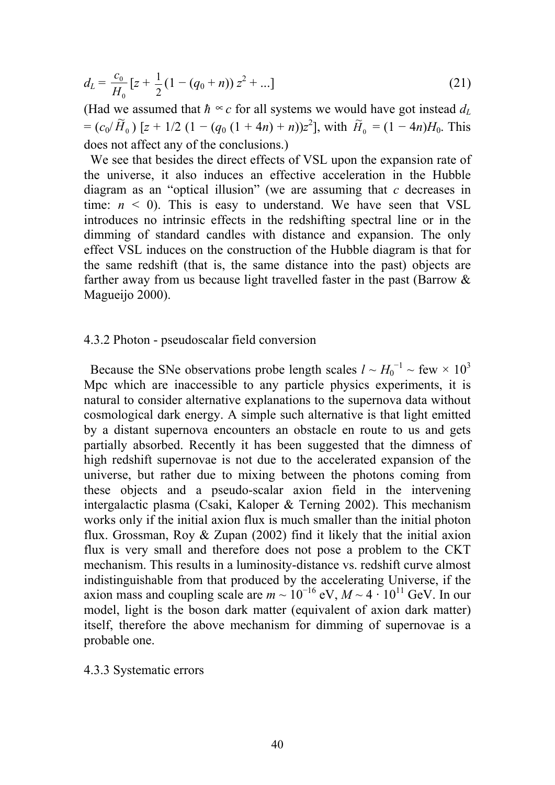$$
d_L = \frac{c_0}{H_0} \left[ z + \frac{1}{2} \left( 1 - (q_0 + n) \right) z^2 + \ldots \right]
$$
 (21)

(Had we assumed that  $\hbar \propto c$  for all systems we would have got instead  $d_L$  $=(c_0/H_0)$ .<br>רז  $\widetilde{H}_0$ ) [*z* + 1/2 (1 – (*q*<sub>0</sub> (1 + 4*n*) + *n*))*z*<sup>2</sup>], with  $\widetilde{H}_0 = (1 - 4n)H_0$ . This does not affect any of the conclusions.)

 We see that besides the direct effects of VSL upon the expansion rate of the universe, it also induces an effective acceleration in the Hubble diagram as an "optical illusion" (we are assuming that *c* decreases in time:  $n \leq 0$ ). This is easy to understand. We have seen that VSL introduces no intrinsic effects in the redshifting spectral line or in the dimming of standard candles with distance and expansion. The only effect VSL induces on the construction of the Hubble diagram is that for the same redshift (that is, the same distance into the past) objects are farther away from us because light travelled faster in the past (Barrow & Magueijo 2000).

#### 4.3.2 Photon - pseudoscalar field conversion

Because the SNe observations probe length scales  $l \sim H_0^{-1} \sim \text{few} \times 10^3$ Mpc which are inaccessible to any particle physics experiments, it is natural to consider alternative explanations to the supernova data without cosmological dark energy. A simple such alternative is that light emitted by a distant supernova encounters an obstacle en route to us and gets partially absorbed. Recently it has been suggested that the dimness of high redshift supernovae is not due to the accelerated expansion of the universe, but rather due to mixing between the photons coming from these objects and a pseudo-scalar axion field in the intervening intergalactic plasma (Csaki, Kaloper & Terning 2002). This mechanism works only if the initial axion flux is much smaller than the initial photon flux. Grossman, Roy & Zupan (2002) find it likely that the initial axion flux is very small and therefore does not pose a problem to the CKT mechanism. This results in a luminosity-distance vs. redshift curve almost indistinguishable from that produced by the accelerating Universe, if the axion mass and coupling scale are  $m \sim 10^{-16}$  eV,  $M \sim 4 \cdot 10^{11}$  GeV. In our model, light is the boson dark matter (equivalent of axion dark matter) itself, therefore the above mechanism for dimming of supernovae is a probable one.

#### 4.3.3 Systematic errors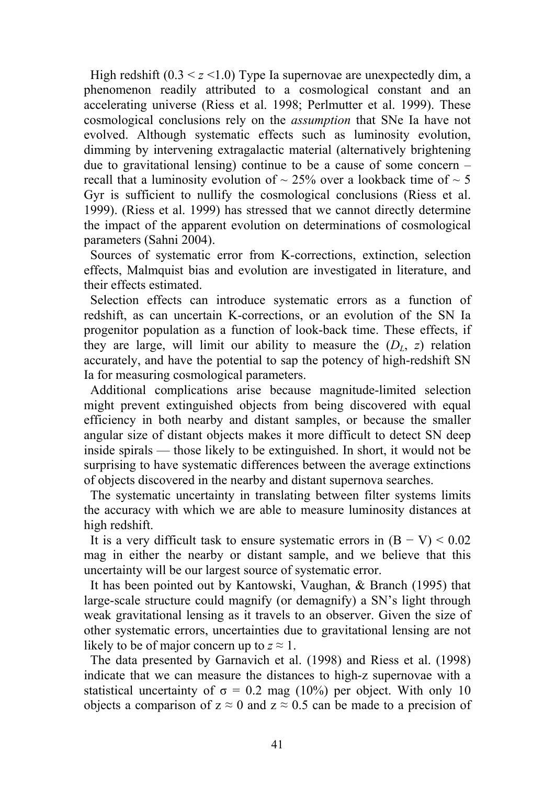High redshift  $(0.3 \le z \le 1.0)$  Type Ia supernovae are unexpectedly dim, a phenomenon readily attributed to a cosmological constant and an accelerating universe (Riess et al. 1998; Perlmutter et al. 1999). These cosmological conclusions rely on the *assumption* that SNe Ia have not evolved. Although systematic effects such as luminosity evolution, dimming by intervening extragalactic material (alternatively brightening due to gravitational lensing) continue to be a cause of some concern – recall that a luminosity evolution of  $\sim$  25% over a lookback time of  $\sim$  5 Gyr is sufficient to nullify the cosmological conclusions (Riess et al. 1999). (Riess et al. 1999) has stressed that we cannot directly determine the impact of the apparent evolution on determinations of cosmological parameters (Sahni 2004).

 Sources of systematic error from K-corrections, extinction, selection effects, Malmquist bias and evolution are investigated in literature, and their effects estimated.

 Selection effects can introduce systematic errors as a function of redshift, as can uncertain K-corrections, or an evolution of the SN Ia progenitor population as a function of look-back time. These effects, if they are large, will limit our ability to measure the  $(D<sub>L</sub>, z)$  relation accurately, and have the potential to sap the potency of high-redshift SN Ia for measuring cosmological parameters.

 Additional complications arise because magnitude-limited selection might prevent extinguished objects from being discovered with equal efficiency in both nearby and distant samples, or because the smaller angular size of distant objects makes it more difficult to detect SN deep inside spirals — those likely to be extinguished. In short, it would not be surprising to have systematic differences between the average extinctions of objects discovered in the nearby and distant supernova searches.

 The systematic uncertainty in translating between filter systems limits the accuracy with which we are able to measure luminosity distances at high redshift.

It is a very difficult task to ensure systematic errors in  $(B - V) < 0.02$ mag in either the nearby or distant sample, and we believe that this uncertainty will be our largest source of systematic error.

 It has been pointed out by Kantowski, Vaughan, & Branch (1995) that large-scale structure could magnify (or demagnify) a SN's light through weak gravitational lensing as it travels to an observer. Given the size of other systematic errors, uncertainties due to gravitational lensing are not likely to be of major concern up to  $z \approx 1$ .

 The data presented by Garnavich et al. (1998) and Riess et al. (1998) indicate that we can measure the distances to high-z supernovae with a statistical uncertainty of  $\sigma = 0.2$  mag (10%) per object. With only 10 objects a comparison of  $z \approx 0$  and  $z \approx 0.5$  can be made to a precision of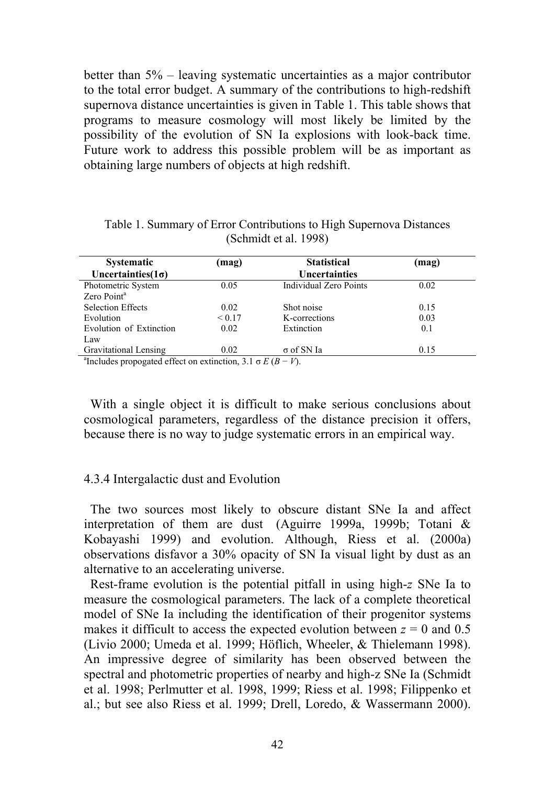better than 5% – leaving systematic uncertainties as a major contributor to the total error budget. A summary of the contributions to high-redshift supernova distance uncertainties is given in Table 1. This table shows that programs to measure cosmology will most likely be limited by the possibility of the evolution of SN Ia explosions with look-back time. Future work to address this possible problem will be as important as obtaining large numbers of objects at high redshift.

| <b>Systematic</b>                                                            | (mag)  | <b>Statistical</b>     | (mag) |
|------------------------------------------------------------------------------|--------|------------------------|-------|
| Uncertainties $(1\sigma)$                                                    |        | <b>Uncertainties</b>   |       |
| Photometric System                                                           | 0.05   | Individual Zero Points | 0.02  |
| Zero Point <sup>a</sup>                                                      |        |                        |       |
| <b>Selection Effects</b>                                                     | 0.02   | Shot noise             | 0.15  |
| Evolution                                                                    | < 0.17 | K-corrections          | 0.03  |
| Evolution of Extinction                                                      | 0.02   | Extinction             | 0.1   |
| Law                                                                          |        |                        |       |
| <b>Gravitational Lensing</b>                                                 | 0.02   | $\sigma$ of SN Ia      | 0.15  |
| <sup>a</sup> Includes propogated effect on extinction, 3.1 $\sigma E(B-V)$ . |        |                        |       |

Table 1. Summary of Error Contributions to High Supernova Distances (Schmidt et al. 1998)

 With a single object it is difficult to make serious conclusions about cosmological parameters, regardless of the distance precision it offers, because there is no way to judge systematic errors in an empirical way.

## 4.3.4 Intergalactic dust and Evolution

 The two sources most likely to obscure distant SNe Ia and affect interpretation of them are dust (Aguirre 1999a, 1999b; Totani & Kobayashi 1999) and evolution. Although, Riess et al. (2000a) observations disfavor a 30% opacity of SN Ia visual light by dust as an alternative to an accelerating universe.

 Rest-frame evolution is the potential pitfall in using high-*z* SNe Ia to measure the cosmological parameters. The lack of a complete theoretical model of SNe Ia including the identification of their progenitor systems makes it difficult to access the expected evolution between  $z = 0$  and 0.5 (Livio 2000; Umeda et al. 1999; Höflich, Wheeler, & Thielemann 1998). An impressive degree of similarity has been observed between the spectral and photometric properties of nearby and high-z SNe Ia (Schmidt et al. 1998; Perlmutter et al. 1998, 1999; Riess et al. 1998; Filippenko et al.; but see also Riess et al. 1999; Drell, Loredo, & Wassermann 2000).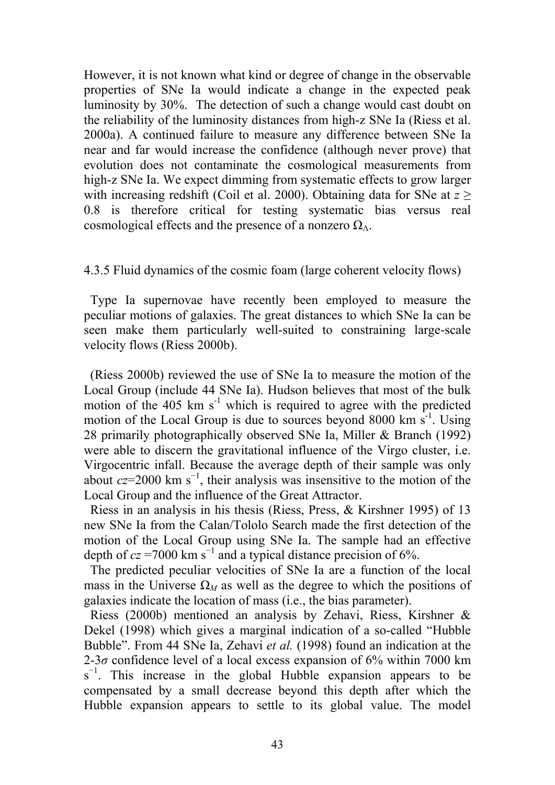However, it is not known what kind or degree of change in the observable properties of SNe Ia would indicate a change in the expected peak luminosity by 30%. The detection of such a change would cast doubt on the reliability of the luminosity distances from high-z SNe Ia (Riess et al. 2000a). A continued failure to measure any difference between SNe Ia near and far would increase the confidence (although never prove) that evolution does not contaminate the cosmological measurements from high-z SNe Ia. We expect dimming from systematic effects to grow larger with increasing redshift (Coil et al. 2000). Obtaining data for SNe at *z* ≥ 0.8 is therefore critical for testing systematic bias versus real cosmological effects and the presence of a nonzero  $\Omega_{\Lambda}$ .

## 4.3.5 Fluid dynamics of the cosmic foam (large coherent velocity flows)

 Type Ia supernovae have recently been employed to measure the peculiar motions of galaxies. The great distances to which SNe Ia can be seen make them particularly well-suited to constraining large-scale velocity flows (Riess 2000b).

 (Riess 2000b) reviewed the use of SNe Ia to measure the motion of the Local Group (include 44 SNe Ia). Hudson believes that most of the bulk motion of the  $405 \text{ km s}^{-1}$  which is required to agree with the predicted motion of the Local Group is due to sources beyond 8000 km  $s^{-1}$ . Using 28 primarily photographically observed SNe Ia, Miller & Branch (1992) were able to discern the gravitational influence of the Virgo cluster, i.e. Virgocentric infall. Because the average depth of their sample was only about  $cz=2000 \text{ km s}^{-1}$ , their analysis was insensitive to the motion of the Local Group and the influence of the Great Attractor.

 Riess in an analysis in his thesis (Riess, Press, & Kirshner 1995) of 13 new SNe Ia from the Calan/Tololo Search made the first detection of the motion of the Local Group using SNe Ia. The sample had an effective depth of  $cz = 7000 \text{ km s}^{-1}$  and a typical distance precision of 6%.

 The predicted peculiar velocities of SNe Ia are a function of the local mass in the Universe  $\Omega_M$  as well as the degree to which the positions of galaxies indicate the location of mass (i.e., the bias parameter).

 Riess (2000b) mentioned an analysis by Zehavi, Riess, Kirshner & Dekel (1998) which gives a marginal indication of a so-called "Hubble Bubble". From 44 SNe Ia, Zehavi *et al.* (1998) found an indication at the 2-3 $\sigma$  confidence level of a local excess expansion of 6% within 7000 km  $s^{-1}$ . This increase in the global Hubble expansion appears to be compensated by a small decrease beyond this depth after which the Hubble expansion appears to settle to its global value. The model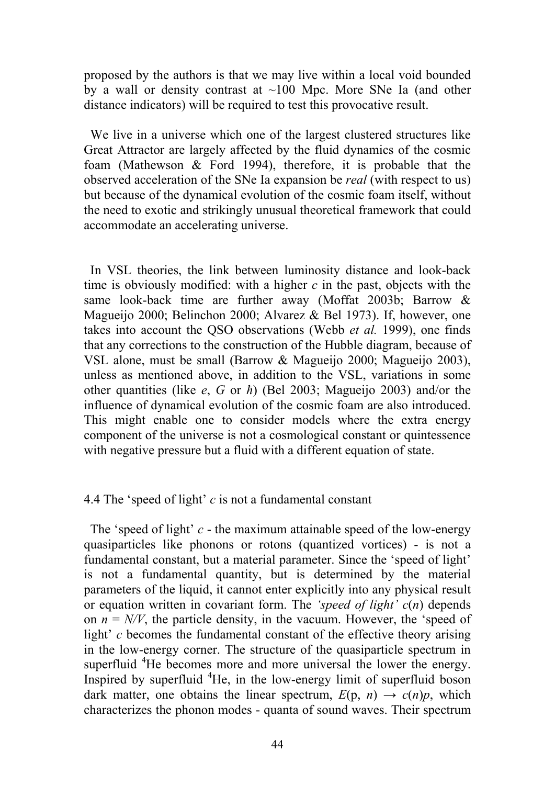proposed by the authors is that we may live within a local void bounded by a wall or density contrast at  $\sim$ 100 Mpc. More SNe Ia (and other distance indicators) will be required to test this provocative result.

 We live in a universe which one of the largest clustered structures like Great Attractor are largely affected by the fluid dynamics of the cosmic foam (Mathewson & Ford 1994), therefore, it is probable that the observed acceleration of the SNe Ia expansion be *real* (with respect to us) but because of the dynamical evolution of the cosmic foam itself, without the need to exotic and strikingly unusual theoretical framework that could accommodate an accelerating universe.

 In VSL theories, the link between luminosity distance and look-back time is obviously modified: with a higher *c* in the past, objects with the same look-back time are further away (Moffat 2003b; Barrow & Magueijo 2000; Belinchon 2000; Alvarez & Bel 1973). If, however, one takes into account the QSO observations (Webb *et al.* 1999), one finds that any corrections to the construction of the Hubble diagram, because of VSL alone, must be small (Barrow & Magueijo 2000; Magueijo 2003), unless as mentioned above, in addition to the VSL, variations in some other quantities (like *e*, *G* or *ħ*) (Bel 2003; Magueijo 2003) and/or the influence of dynamical evolution of the cosmic foam are also introduced. This might enable one to consider models where the extra energy component of the universe is not a cosmological constant or quintessence with negative pressure but a fluid with a different equation of state.

#### 4.4 The 'speed of light' *c* is not a fundamental constant

 The 'speed of light' *c* - the maximum attainable speed of the low-energy quasiparticles like phonons or rotons (quantized vortices) - is not a fundamental constant, but a material parameter. Since the 'speed of light' is not a fundamental quantity, but is determined by the material parameters of the liquid, it cannot enter explicitly into any physical result or equation written in covariant form. The *'speed of light' c*(*n*) depends on  $n = N/V$ , the particle density, in the vacuum. However, the 'speed of light' *c* becomes the fundamental constant of the effective theory arising in the low-energy corner. The structure of the quasiparticle spectrum in superfluid <sup>4</sup>He becomes more and more universal the lower the energy. Inspired by superfluid <sup>4</sup>He, in the low-energy limit of superfluid boson dark matter, one obtains the linear spectrum,  $E(p, n) \rightarrow c(n)p$ , which characterizes the phonon modes - quanta of sound waves. Their spectrum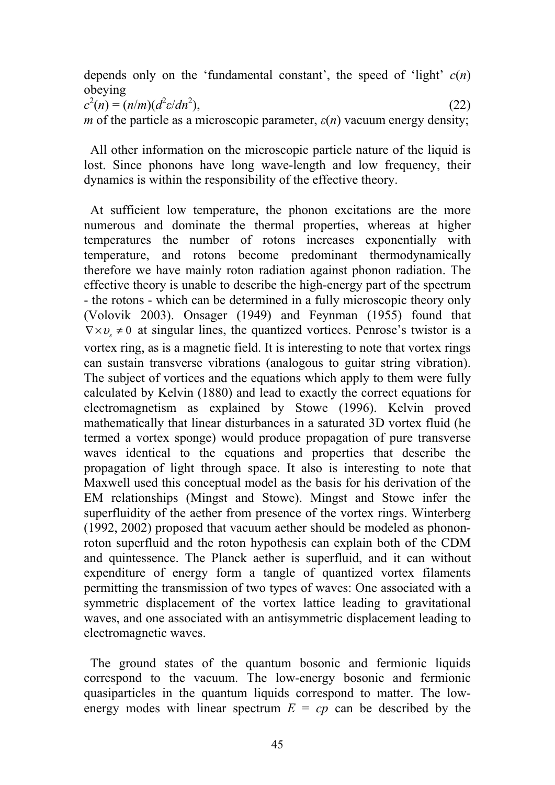depends only on the 'fundamental constant', the speed of 'light' *c*(*n*) obeying

 $c^2(n) = (n/m)(d^2 \varepsilon/dn^2)$  $),$  (22)

*m* of the particle as a microscopic parameter,  $\varepsilon(n)$  vacuum energy density;

 All other information on the microscopic particle nature of the liquid is lost. Since phonons have long wave-length and low frequency, their dynamics is within the responsibility of the effective theory.

 At sufficient low temperature, the phonon excitations are the more numerous and dominate the thermal properties, whereas at higher temperatures the number of rotons increases exponentially with temperature, and rotons become predominant thermodynamically therefore we have mainly roton radiation against phonon radiation. The effective theory is unable to describe the high-energy part of the spectrum - the rotons - which can be determined in a fully microscopic theory only (Volovik 2003). Onsager (1949) and Feynman (1955) found that  $\nabla \times v_{s} \neq 0$  at singular lines, the quantized vortices. Penrose's twistor is a vortex ring, as is a magnetic field. It is interesting to note that vortex rings can sustain transverse vibrations (analogous to guitar string vibration). The subject of vortices and the equations which apply to them were fully calculated by Kelvin (1880) and lead to exactly the correct equations for electromagnetism as explained by Stowe (1996). Kelvin proved mathematically that linear disturbances in a saturated 3D vortex fluid (he termed a vortex sponge) would produce propagation of pure transverse waves identical to the equations and properties that describe the propagation of light through space. It also is interesting to note that Maxwell used this conceptual model as the basis for his derivation of the EM relationships (Mingst and Stowe). Mingst and Stowe infer the superfluidity of the aether from presence of the vortex rings. Winterberg (1992, 2002) proposed that vacuum aether should be modeled as phononroton superfluid and the roton hypothesis can explain both of the CDM and quintessence. The Planck aether is superfluid, and it can without expenditure of energy form a tangle of quantized vortex filaments permitting the transmission of two types of waves: One associated with a symmetric displacement of the vortex lattice leading to gravitational waves, and one associated with an antisymmetric displacement leading to electromagnetic waves.

 The ground states of the quantum bosonic and fermionic liquids correspond to the vacuum. The low-energy bosonic and fermionic quasiparticles in the quantum liquids correspond to matter. The lowenergy modes with linear spectrum  $E = cp$  can be described by the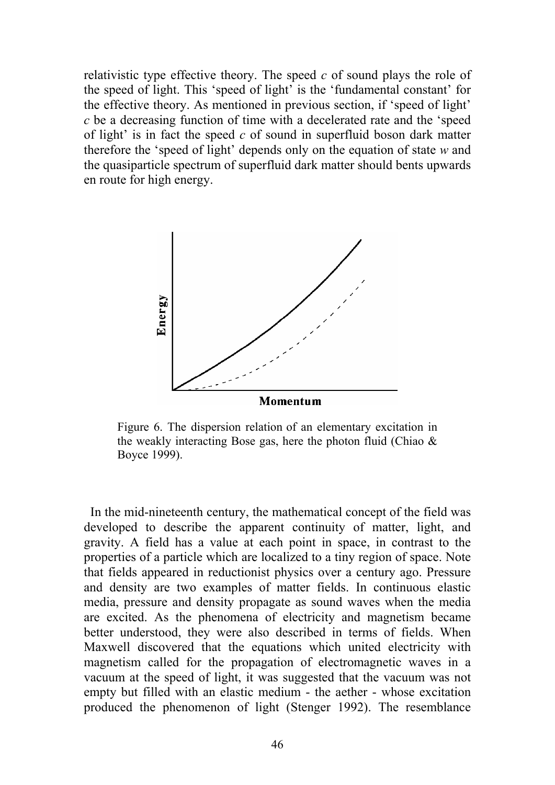relativistic type effective theory. The speed *c* of sound plays the role of the speed of light. This 'speed of light' is the 'fundamental constant' for the effective theory. As mentioned in previous section, if 'speed of light' *c* be a decreasing function of time with a decelerated rate and the 'speed of light' is in fact the speed *c* of sound in superfluid boson dark matter therefore the 'speed of light' depends only on the equation of state *w* and the quasiparticle spectrum of superfluid dark matter should bents upwards en route for high energy.



Figure 6. The dispersion relation of an elementary excitation in the weakly interacting Bose gas, here the photon fluid (Chiao  $\&$ Boyce 1999).

 In the mid-nineteenth century, the mathematical concept of the field was developed to describe the apparent continuity of matter, light, and gravity. A field has a value at each point in space, in contrast to the properties of a particle which are localized to a tiny region of space. Note that fields appeared in reductionist physics over a century ago. Pressure and density are two examples of matter fields. In continuous elastic media, pressure and density propagate as sound waves when the media are excited. As the phenomena of electricity and magnetism became better understood, they were also described in terms of fields. When Maxwell discovered that the equations which united electricity with magnetism called for the propagation of electromagnetic waves in a vacuum at the speed of light, it was suggested that the vacuum was not empty but filled with an elastic medium - the aether - whose excitation produced the phenomenon of light (Stenger 1992). The resemblance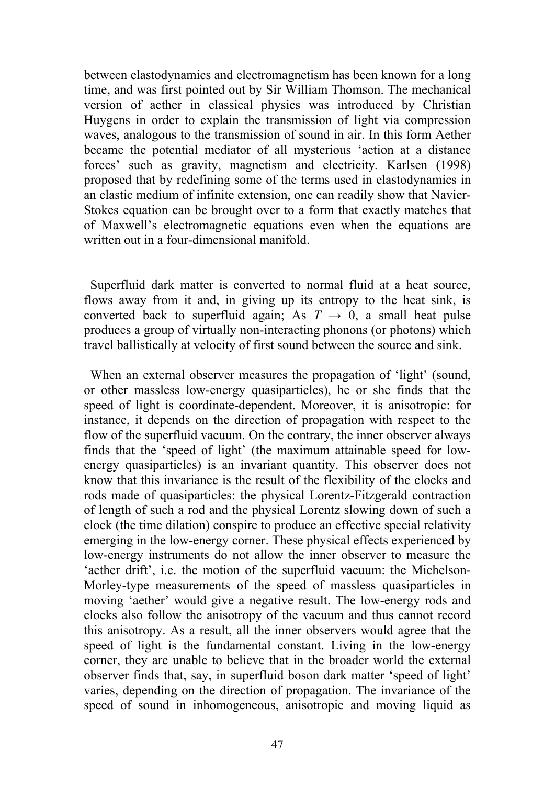between elastodynamics and electromagnetism has been known for a long time, and was first pointed out by Sir William Thomson. The mechanical version of aether in classical physics was introduced by Christian Huygens in order to explain the transmission of light via compression waves, analogous to the transmission of sound in air. In this form Aether became the potential mediator of all mysterious 'action at a distance forces' such as gravity, magnetism and electricity*.* Karlsen (1998) proposed that by redefining some of the terms used in elastodynamics in an elastic medium of infinite extension, one can readily show that Navier-Stokes equation can be brought over to a form that exactly matches that of Maxwell's electromagnetic equations even when the equations are written out in a four-dimensional manifold.

 Superfluid dark matter is converted to normal fluid at a heat source, flows away from it and, in giving up its entropy to the heat sink, is converted back to superfluid again; As  $T \rightarrow 0$ , a small heat pulse produces a group of virtually non-interacting phonons (or photons) which travel ballistically at velocity of first sound between the source and sink.

When an external observer measures the propagation of 'light' (sound, or other massless low-energy quasiparticles), he or she finds that the speed of light is coordinate-dependent. Moreover, it is anisotropic: for instance, it depends on the direction of propagation with respect to the flow of the superfluid vacuum. On the contrary, the inner observer always finds that the 'speed of light' (the maximum attainable speed for lowenergy quasiparticles) is an invariant quantity. This observer does not know that this invariance is the result of the flexibility of the clocks and rods made of quasiparticles: the physical Lorentz-Fitzgerald contraction of length of such a rod and the physical Lorentz slowing down of such a clock (the time dilation) conspire to produce an effective special relativity emerging in the low-energy corner. These physical effects experienced by low-energy instruments do not allow the inner observer to measure the 'aether drift', i.e. the motion of the superfluid vacuum: the Michelson-Morley-type measurements of the speed of massless quasiparticles in moving 'aether' would give a negative result. The low-energy rods and clocks also follow the anisotropy of the vacuum and thus cannot record this anisotropy. As a result, all the inner observers would agree that the speed of light is the fundamental constant. Living in the low-energy corner, they are unable to believe that in the broader world the external observer finds that, say, in superfluid boson dark matter 'speed of light' varies, depending on the direction of propagation. The invariance of the speed of sound in inhomogeneous, anisotropic and moving liquid as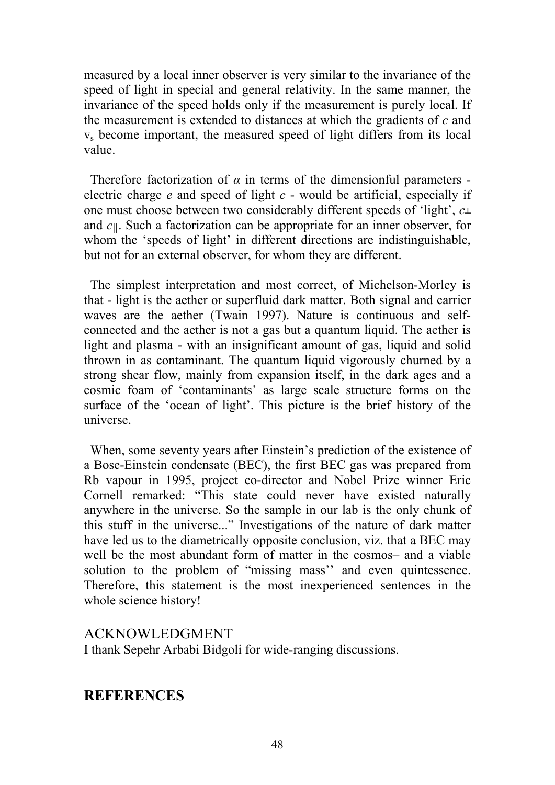measured by a local inner observer is very similar to the invariance of the speed of light in special and general relativity. In the same manner, the invariance of the speed holds only if the measurement is purely local. If the measurement is extended to distances at which the gradients of *c* and vs become important, the measured speed of light differs from its local value.

Therefore factorization of  $\alpha$  in terms of the dimensionful parameters electric charge *e* and speed of light *c* - would be artificial, especially if one must choose between two considerably different speeds of 'light', *c┴* and *c║*. Such a factorization can be appropriate for an inner observer, for whom the 'speeds of light' in different directions are indistinguishable, but not for an external observer, for whom they are different.

 The simplest interpretation and most correct, of Michelson-Morley is that - light is the aether or superfluid dark matter. Both signal and carrier waves are the aether (Twain 1997). Nature is continuous and selfconnected and the aether is not a gas but a quantum liquid. The aether is light and plasma - with an insignificant amount of gas, liquid and solid thrown in as contaminant. The quantum liquid vigorously churned by a strong shear flow, mainly from expansion itself, in the dark ages and a cosmic foam of 'contaminants' as large scale structure forms on the surface of the 'ocean of light'. This picture is the brief history of the universe.

 When, some seventy years after Einstein's prediction of the existence of a Bose-Einstein condensate (BEC), the first BEC gas was prepared from Rb vapour in 1995, project co-director and Nobel Prize winner Eric Cornell remarked: "This state could never have existed naturally anywhere in the universe. So the sample in our lab is the only chunk of this stuff in the universe..." Investigations of the nature of dark matter have led us to the diametrically opposite conclusion, viz. that a BEC may well be the most abundant form of matter in the cosmos– and a viable solution to the problem of "missing mass'' and even quintessence. Therefore, this statement is the most inexperienced sentences in the whole science history!

## ACKNOWLEDGMENT

I thank Sepehr Arbabi Bidgoli for wide-ranging discussions.

# **REFERENCES**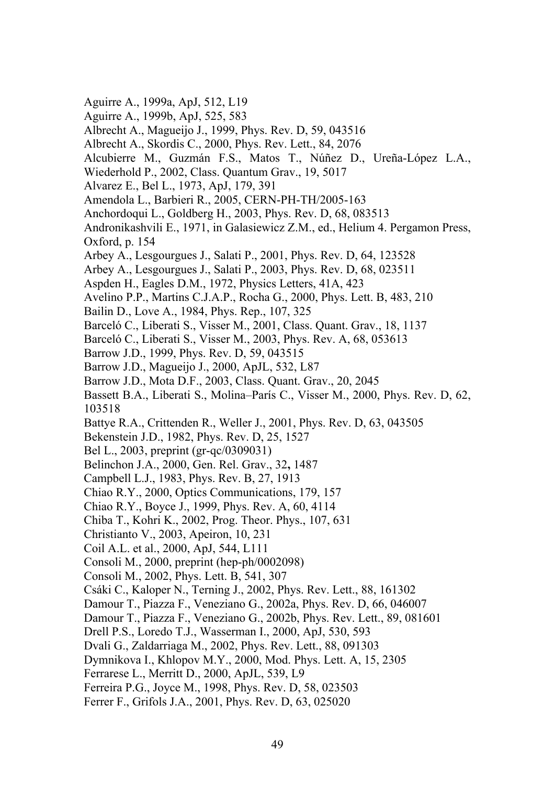- Aguirre A., 1999a, ApJ, 512, L19
- Aguirre A., 1999b, ApJ, 525, 583
- Albrecht A., Magueijo J., 1999, Phys. Rev. D, 59, 043516
- Albrecht A., Skordis C., 2000, Phys. Rev. Lett., 84, 2076
- Alcubierre M., Guzmán F.S., Matos T., Núñez D., Ureña-López L.A.,
- Wiederhold P., 2002, Class. Quantum Grav., 19, 5017
- Alvarez E., Bel L., 1973, ApJ, 179, 391
- Amendola L., Barbieri R., 2005, CERN-PH-TH/2005-163
- Anchordoqui L., Goldberg H., 2003, Phys. Rev. D, 68, 083513
- Andronikashvili E., 1971, in Galasiewicz Z.M., ed., Helium 4. Pergamon Press, Oxford, p. 154
- Arbey A., Lesgourgues J., Salati P., 2001, Phys. Rev. D, 64, 123528
- Arbey A., Lesgourgues J., Salati P., 2003, Phys. Rev. D, 68, 023511
- Aspden H., Eagles D.M., 1972, Physics Letters, 41A, 423
- Avelino P.P., Martins C.J.A.P., Rocha G., 2000, Phys. Lett. B, 483, 210
- Bailin D., Love A., 1984, Phys. Rep., 107, 325
- Barceló C., Liberati S., Visser M., 2001, Class. Quant. Grav., 18, 1137
- Barceló C., Liberati S., Visser M., 2003, Phys. Rev. A, 68, 053613
- Barrow J.D., 1999, Phys. Rev. D, 59, 043515
- Barrow J.D., Magueijo J., 2000, ApJL, 532, L87
- Barrow J.D., Mota D.F., 2003, Class. Quant. Grav., 20, 2045
- Bassett B.A., Liberati S., Molina–París C., Visser M., 2000, Phys. Rev. D, 62, 103518
- Battye R.A., Crittenden R., Weller J., 2001, Phys. Rev. D, 63, 043505
- Bekenstein J.D., 1982, Phys. Rev. D, 25, 1527
- Bel L., 2003, preprint (gr-qc/0309031)
- Belinchon J.A., 2000, Gen. Rel. Grav., 32**,** 1487
- Campbell L.J., 1983, Phys. Rev. B, 27, 1913
- Chiao R.Y., 2000, Optics Communications, 179, 157
- Chiao R.Y., Boyce J., 1999, Phys. Rev. A, 60, 4114
- Chiba T., Kohri K., 2002, Prog. Theor. Phys., 107, 631
- Christianto V., 2003, Apeiron, 10, 231
- Coil A.L. et al., 2000, ApJ, 544, L111
- Consoli M., 2000, preprint (hep-ph/0002098)
- Consoli M., 2002, Phys. Lett. B, 541, 307
- Csáki C., Kaloper N., Terning J., 2002, Phys. Rev. Lett., 88, 161302
- Damour T., Piazza F., Veneziano G., 2002a, Phys. Rev. D, 66, 046007
- Damour T., Piazza F., Veneziano G., 2002b, Phys. Rev. Lett., 89, 081601
- Drell P.S., Loredo T.J., Wasserman I., 2000, ApJ, 530, 593
- Dvali G., Zaldarriaga M., 2002, Phys. Rev. Lett., 88, 091303
- Dymnikova I., Khlopov M.Y., 2000, Mod. Phys. Lett. A, 15, 2305
- Ferrarese L., Merritt D., 2000, ApJL, 539, L9
- Ferreira P.G., Joyce M., 1998, Phys. Rev. D, 58, 023503
- Ferrer F., Grifols J.A., 2001, Phys. Rev. D, 63, 025020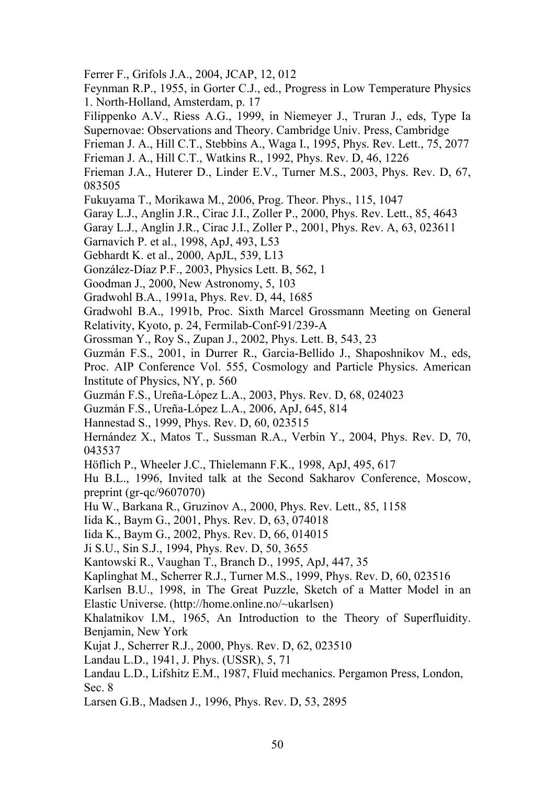- Ferrer F., Grifols J.A., 2004, JCAP, 12, 012
- Feynman R.P., 1955, in Gorter C.J., ed., Progress in Low Temperature Physics 1. North-Holland, Amsterdam, p. 17
- Filippenko A.V., Riess A.G., 1999, in Niemeyer J., Truran J., eds, Type Ia Supernovae: Observations and Theory. Cambridge Univ. Press, Cambridge
- Frieman J. A., Hill C.T., Stebbins A., Waga I., 1995, Phys. Rev. Lett., 75, 2077
- Frieman J. A., Hill C.T., Watkins R., 1992, Phys. Rev. D, 46, 1226
- Frieman J.A., Huterer D., Linder E.V., Turner M.S., 2003, Phys. Rev. D, 67, 083505
- Fukuyama T., Morikawa M., 2006, Prog. Theor. Phys., 115, 1047
- Garay L.J., Anglin J.R., Cirac J.I., Zoller P., 2000, Phys. Rev. Lett., 85, 4643
- Garay L.J., Anglin J.R., Cirac J.I., Zoller P., 2001, Phys. Rev. A, 63, 023611
- Garnavich P. et al., 1998, ApJ, 493, L53
- Gebhardt K. et al., 2000, ApJL, 539, L13
- González-Díaz P.F., 2003, Physics Lett. B, 562, 1
- Goodman J., 2000, New Astronomy, 5, 103
- Gradwohl B.A., 1991a, Phys. Rev. D, 44, 1685
- Gradwohl B.A., 1991b, Proc. Sixth Marcel Grossmann Meeting on General Relativity, Kyoto, p. 24, Fermilab-Conf-91/239-A
- Grossman Y., Roy S., Zupan J., 2002, Phys. Lett. B, 543, 23
- Guzmán F.S., 2001, in Durrer R., Garcia-Bellido J., Shaposhnikov M., eds,
- Proc. AIP Conference Vol. 555, Cosmology and Particle Physics. American Institute of Physics, NY, p. 560
- Guzmán F.S., Ureña-López L.A., 2003, Phys. Rev. D, 68, 024023
- Guzmán F.S., Ureña-López L.A., 2006, ApJ, 645, 814
- Hannestad S., 1999, Phys. Rev. D, 60, 023515
- Hernández X., Matos T., Sussman R.A., Verbin Y., 2004, Phys. Rev. D, 70, 043537
- Höflich P., Wheeler J.C., Thielemann F.K., 1998, ApJ, 495, 617
- Hu B.L., 1996, Invited talk at the Second Sakharov Conference, Moscow, preprint (gr-qc/9607070)
- Hu W., Barkana R., Gruzinov A., 2000, Phys. Rev. Lett., 85, 1158
- Iida K., Baym G., 2001, Phys. Rev. D, 63, 074018
- Iida K., Baym G., 2002, Phys. Rev. D, 66, 014015
- Ji S.U., Sin S.J., 1994, Phys. Rev. D, 50, 3655
- Kantowski R., Vaughan T., Branch D., 1995, ApJ, 447, 35
- Kaplinghat M., Scherrer R.J., Turner M.S., 1999, Phys. Rev. D, 60, 023516
- Karlsen B.U., 1998, in The Great Puzzle, Sketch of a Matter Model in an Elastic Universe. (http://home.online.no/~ukarlsen)
- Khalatnikov I.M., 1965, An Introduction to the Theory of Superfluidity. Benjamin, New York
- Kujat J., Scherrer R.J., 2000, Phys. Rev. D, 62, 023510
- Landau L.D., 1941, J. Phys. (USSR), 5, 71
- Landau L.D., Lifshitz E.M., 1987, Fluid mechanics. Pergamon Press, London, Sec. 8
- Larsen G.B., Madsen J., 1996, Phys. Rev. D, 53, 2895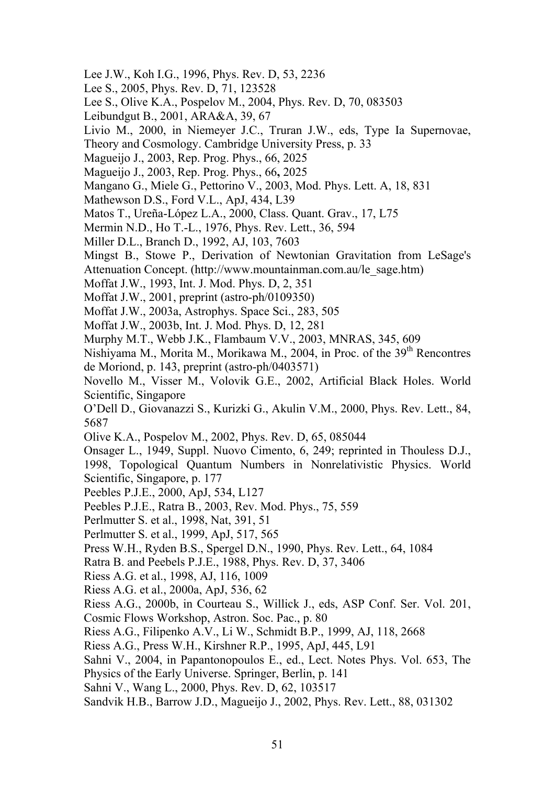- Lee J.W., Koh I.G., 1996, Phys. Rev. D, 53, 2236
- Lee S., 2005, Phys. Rev. D, 71, 123528
- Lee S., Olive K.A., Pospelov M., 2004, Phys. Rev. D, 70, 083503
- Leibundgut B., 2001, ARA&A, 39, 67
- Livio M., 2000, in Niemeyer J.C., Truran J.W., eds, Type Ia Supernovae,
- Theory and Cosmology. Cambridge University Press, p. 33
- Magueijo J., 2003, Rep. Prog. Phys., 66, 2025
- Magueijo J., 2003, Rep. Prog. Phys., 66**,** 2025
- Mangano G., Miele G., Pettorino V., 2003, Mod. Phys. Lett. A, 18, 831
- Mathewson D.S., Ford V.L., ApJ, 434, L39
- Matos T., Ureña-López L.A., 2000, Class. Quant. Grav., 17, L75
- Mermin N.D., Ho T.-L., 1976, Phys. Rev. Lett., 36, 594
- Miller D.L., Branch D., 1992, AJ, 103, 7603
- Mingst B., Stowe P., Derivation of Newtonian Gravitation from LeSage's
- Attenuation Concept. (http://www.mountainman.com.au/le\_sage.htm)
- Moffat J.W., 1993, Int. J. Mod. Phys. D, 2, 351
- Moffat J.W., 2001, preprint (astro-ph/0109350)
- Moffat J.W., 2003a, Astrophys. Space Sci., 283, 505
- Moffat J.W., 2003b, Int. J. Mod. Phys. D, 12, 281
- Murphy M.T., Webb J.K., Flambaum V.V., 2003, MNRAS, 345, 609

Nishiyama M., Morita M., Morikawa M., 2004, in Proc. of the 39<sup>th</sup> Rencontres de Moriond, p. 143, preprint (astro-ph/0403571)

Novello M., Visser M., Volovik G.E., 2002, Artificial Black Holes. World Scientific, Singapore

O'Dell D., Giovanazzi S., Kurizki G., Akulin V.M., 2000, Phys. Rev. Lett., 84, 5687

Olive K.A., Pospelov M., 2002, Phys. Rev. D, 65, 085044

Onsager L., 1949, Suppl. Nuovo Cimento, 6, 249; reprinted in Thouless D.J.,

1998, Topological Quantum Numbers in Nonrelativistic Physics. World Scientific, Singapore, p. 177

- Peebles P.J.E., 2000, ApJ, 534, L127
- Peebles P.J.E., Ratra B., 2003, Rev. Mod. Phys., 75, 559
- Perlmutter S. et al., 1998, Nat, 391, 51
- Perlmutter S. et al., 1999, ApJ, 517, 565
- Press W.H., Ryden B.S., Spergel D.N., 1990, Phys. Rev. Lett., 64, 1084
- Ratra B. and Peebels P.J.E., 1988, Phys. Rev. D, 37, 3406
- Riess A.G. et al., 1998, AJ, 116, 1009
- Riess A.G. et al., 2000a, ApJ, 536, 62
- Riess A.G., 2000b, in Courteau S., Willick J., eds, ASP Conf. Ser. Vol. 201,
- Cosmic Flows Workshop, Astron. Soc. Pac., p. 80
- Riess A.G., Filipenko A.V., Li W., Schmidt B.P., 1999, AJ, 118, 2668

Riess A.G., Press W.H., Kirshner R.P., 1995, ApJ, 445, L91

Sahni V., 2004, in Papantonopoulos E., ed., Lect. Notes Phys. Vol. 653, The

- Physics of the Early Universe. Springer, Berlin, p. 141
- Sahni V., Wang L., 2000, Phys. Rev. D, 62, 103517

Sandvik H.B., Barrow J.D., Magueijo J., 2002, Phys. Rev. Lett., 88, 031302